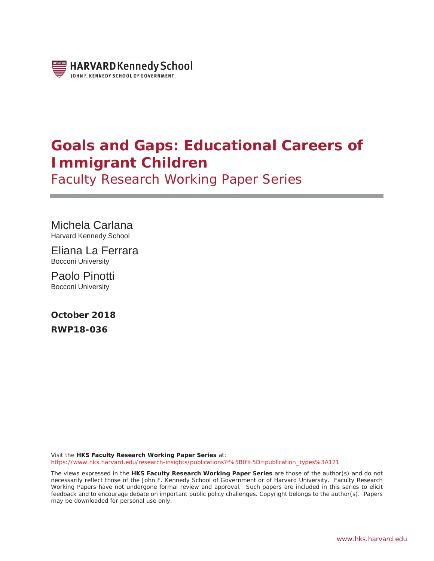

# **Goals and Gaps: Educational Careers of Immigrant Children**

Faculty Research Working Paper Series

Michela Carlana Harvard Kennedy School

Eliana La Ferrara Bocconi University

Paolo Pinotti Bocconi University

**October 2018 RWP18-036**

Visit the **HKS Faculty Research Working Paper Series** at: https://www.hks.harvard.edu/research-insights/publications?f%5B0%5D=publication\_types%3A121

The views expressed in the **HKS Faculty Research Working Paper Series** are those of the author(s) and do not necessarily reflect those of the John F. Kennedy School of Government or of Harvard University. Faculty Research Working Papers have not undergone formal review and approval. Such papers are included in this series to elicit feedback and to encourage debate on important public policy challenges. Copyright belongs to the author(s). Papers may be downloaded for personal use only.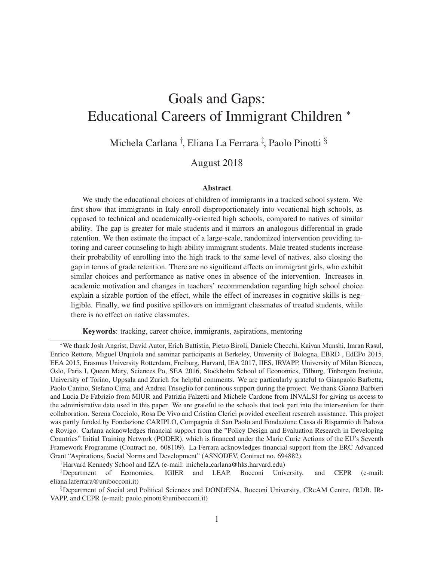# Goals and Gaps: Educational Careers of Immigrant Children <sup>∗</sup>

Michela Carlana † , Eliana La Ferrara ‡ , Paolo Pinotti §

### August 2018

#### Abstract

We study the educational choices of children of immigrants in a tracked school system. We first show that immigrants in Italy enroll disproportionately into vocational high schools, as opposed to technical and academically-oriented high schools, compared to natives of similar ability. The gap is greater for male students and it mirrors an analogous differential in grade retention. We then estimate the impact of a large-scale, randomized intervention providing tutoring and career counseling to high-ability immigrant students. Male treated students increase their probability of enrolling into the high track to the same level of natives, also closing the gap in terms of grade retention. There are no significant effects on immigrant girls, who exhibit similar choices and performance as native ones in absence of the intervention. Increases in academic motivation and changes in teachers' recommendation regarding high school choice explain a sizable portion of the effect, while the effect of increases in cognitive skills is negligible. Finally, we find positive spillovers on immigrant classmates of treated students, while there is no effect on native classmates.

Keywords: tracking, career choice, immigrants, aspirations, mentoring

<sup>∗</sup>We thank Josh Angrist, David Autor, Erich Battistin, Pietro Biroli, Daniele Checchi, Kaivan Munshi, Imran Rasul, Enrico Rettore, Miguel Urquiola and seminar participants at Berkeley, University of Bologna, EBRD , EdEPo 2015, EEA 2015, Erasmus University Rotterdam, Freiburg, Harvard, IEA 2017, IIES, IRVAPP, University of Milan Bicocca, Oslo, Paris I, Queen Mary, Sciences Po, SEA 2016, Stockholm School of Economics, Tilburg, Tinbergen Institute, University of Torino, Uppsala and Zurich for helpful comments. We are particularly grateful to Gianpaolo Barbetta, Paolo Canino, Stefano Cima, and Andrea Trisoglio for continous support during the project. We thank Gianna Barbieri and Lucia De Fabrizio from MIUR and Patrizia Falzetti and Michele Cardone from INVALSI for giving us access to the administrative data used in this paper. We are grateful to the schools that took part into the intervention for their collaboration. Serena Cocciolo, Rosa De Vivo and Cristina Clerici provided excellent research assistance. This project was partly funded by Fondazione CARIPLO, Compagnia di San Paolo and Fondazione Cassa di Risparmio di Padova e Rovigo. Carlana acknowledges financial support from the "Policy Design and Evaluation Research in Developing Countries" Initial Training Network (PODER), which is financed under the Marie Curie Actions of the EU's Seventh Framework Programme (Contract no. 608109). La Ferrara acknowledges financial support from the ERC Advanced Grant "Aspirations, Social Norms and Development" (ASNODEV, Contract no. 694882).

<sup>†</sup>Harvard Kennedy School and IZA (e-mail: michela carlana@hks.harvard.edu)

<sup>‡</sup>Department of Economics, IGIER and LEAP, Bocconi University, and CEPR (e-mail: eliana.laferrara@unibocconi.it)

<sup>§</sup>Department of Social and Political Sciences and DONDENA, Bocconi University, CReAM Centre, fRDB, IR-VAPP, and CEPR (e-mail: paolo.pinotti@unibocconi.it)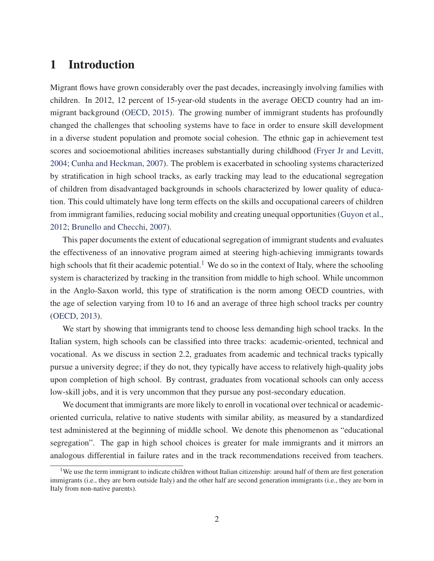## 1 Introduction

Migrant flows have grown considerably over the past decades, increasingly involving families with children. In 2012, 12 percent of 15-year-old students in the average OECD country had an immigrant background (OECD, 2015). The growing number of immigrant students has profoundly changed the challenges that schooling systems have to face in order to ensure skill development in a diverse student population and promote social cohesion. The ethnic gap in achievement test scores and socioemotional abilities increases substantially during childhood (Fryer Jr and Levitt, 2004; Cunha and Heckman, 2007). The problem is exacerbated in schooling systems characterized by stratification in high school tracks, as early tracking may lead to the educational segregation of children from disadvantaged backgrounds in schools characterized by lower quality of education. This could ultimately have long term effects on the skills and occupational careers of children from immigrant families, reducing social mobility and creating unequal opportunities (Guyon et al., 2012; Brunello and Checchi, 2007).

This paper documents the extent of educational segregation of immigrant students and evaluates the effectiveness of an innovative program aimed at steering high-achieving immigrants towards high schools that fit their academic potential.<sup>1</sup> We do so in the context of Italy, where the schooling system is characterized by tracking in the transition from middle to high school. While uncommon in the Anglo-Saxon world, this type of stratification is the norm among OECD countries, with the age of selection varying from 10 to 16 and an average of three high school tracks per country (OECD, 2013).

We start by showing that immigrants tend to choose less demanding high school tracks. In the Italian system, high schools can be classified into three tracks: academic-oriented, technical and vocational. As we discuss in section 2.2, graduates from academic and technical tracks typically pursue a university degree; if they do not, they typically have access to relatively high-quality jobs upon completion of high school. By contrast, graduates from vocational schools can only access low-skill jobs, and it is very uncommon that they pursue any post-secondary education.

We document that immigrants are more likely to enroll in vocational over technical or academicoriented curricula, relative to native students with similar ability, as measured by a standardized test administered at the beginning of middle school. We denote this phenomenon as "educational segregation". The gap in high school choices is greater for male immigrants and it mirrors an analogous differential in failure rates and in the track recommendations received from teachers.

<sup>&</sup>lt;sup>1</sup>We use the term immigrant to indicate children without Italian citizenship: around half of them are first generation immigrants (i.e., they are born outside Italy) and the other half are second generation immigrants (i.e., they are born in Italy from non-native parents).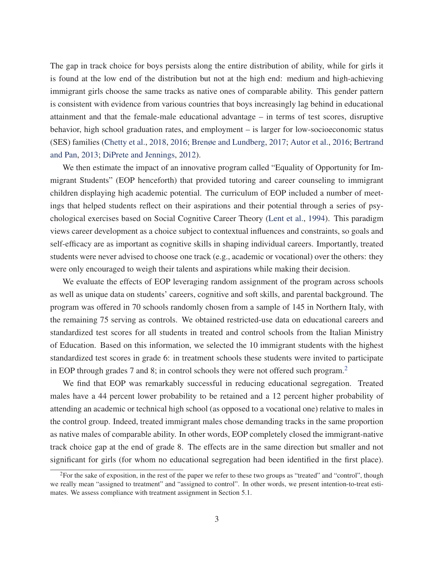The gap in track choice for boys persists along the entire distribution of ability, while for girls it is found at the low end of the distribution but not at the high end: medium and high-achieving immigrant girls choose the same tracks as native ones of comparable ability. This gender pattern is consistent with evidence from various countries that boys increasingly lag behind in educational attainment and that the female-male educational advantage – in terms of test scores, disruptive behavior, high school graduation rates, and employment – is larger for low-socioeconomic status (SES) families (Chetty et al., 2018, 2016; Brenøe and Lundberg, 2017; Autor et al., 2016; Bertrand and Pan, 2013; DiPrete and Jennings, 2012).

We then estimate the impact of an innovative program called "Equality of Opportunity for Immigrant Students" (EOP henceforth) that provided tutoring and career counseling to immigrant children displaying high academic potential. The curriculum of EOP included a number of meetings that helped students reflect on their aspirations and their potential through a series of psychological exercises based on Social Cognitive Career Theory (Lent et al., 1994). This paradigm views career development as a choice subject to contextual influences and constraints, so goals and self-efficacy are as important as cognitive skills in shaping individual careers. Importantly, treated students were never advised to choose one track (e.g., academic or vocational) over the others: they were only encouraged to weigh their talents and aspirations while making their decision.

We evaluate the effects of EOP leveraging random assignment of the program across schools as well as unique data on students' careers, cognitive and soft skills, and parental background. The program was offered in 70 schools randomly chosen from a sample of 145 in Northern Italy, with the remaining 75 serving as controls. We obtained restricted-use data on educational careers and standardized test scores for all students in treated and control schools from the Italian Ministry of Education. Based on this information, we selected the 10 immigrant students with the highest standardized test scores in grade 6: in treatment schools these students were invited to participate in EOP through grades 7 and 8; in control schools they were not offered such program.<sup>2</sup>

We find that EOP was remarkably successful in reducing educational segregation. Treated males have a 44 percent lower probability to be retained and a 12 percent higher probability of attending an academic or technical high school (as opposed to a vocational one) relative to males in the control group. Indeed, treated immigrant males chose demanding tracks in the same proportion as native males of comparable ability. In other words, EOP completely closed the immigrant-native track choice gap at the end of grade 8. The effects are in the same direction but smaller and not significant for girls (for whom no educational segregation had been identified in the first place).

<sup>&</sup>lt;sup>2</sup>For the sake of exposition, in the rest of the paper we refer to these two groups as "treated" and "control", though we really mean "assigned to treatment" and "assigned to control". In other words, we present intention-to-treat estimates. We assess compliance with treatment assignment in Section 5.1.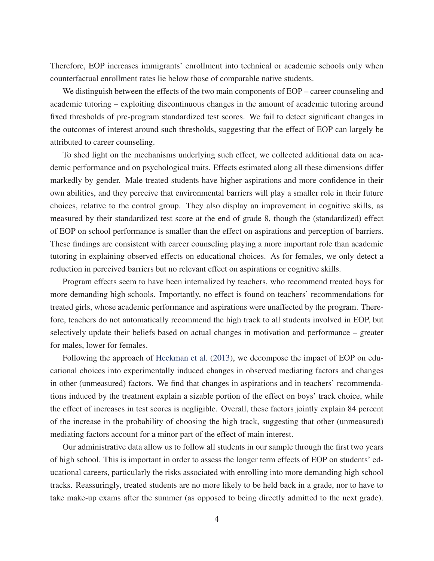Therefore, EOP increases immigrants' enrollment into technical or academic schools only when counterfactual enrollment rates lie below those of comparable native students.

We distinguish between the effects of the two main components of EOP – career counseling and academic tutoring – exploiting discontinuous changes in the amount of academic tutoring around fixed thresholds of pre-program standardized test scores. We fail to detect significant changes in the outcomes of interest around such thresholds, suggesting that the effect of EOP can largely be attributed to career counseling.

To shed light on the mechanisms underlying such effect, we collected additional data on academic performance and on psychological traits. Effects estimated along all these dimensions differ markedly by gender. Male treated students have higher aspirations and more confidence in their own abilities, and they perceive that environmental barriers will play a smaller role in their future choices, relative to the control group. They also display an improvement in cognitive skills, as measured by their standardized test score at the end of grade 8, though the (standardized) effect of EOP on school performance is smaller than the effect on aspirations and perception of barriers. These findings are consistent with career counseling playing a more important role than academic tutoring in explaining observed effects on educational choices. As for females, we only detect a reduction in perceived barriers but no relevant effect on aspirations or cognitive skills.

Program effects seem to have been internalized by teachers, who recommend treated boys for more demanding high schools. Importantly, no effect is found on teachers' recommendations for treated girls, whose academic performance and aspirations were unaffected by the program. Therefore, teachers do not automatically recommend the high track to all students involved in EOP, but selectively update their beliefs based on actual changes in motivation and performance – greater for males, lower for females.

Following the approach of Heckman et al. (2013), we decompose the impact of EOP on educational choices into experimentally induced changes in observed mediating factors and changes in other (unmeasured) factors. We find that changes in aspirations and in teachers' recommendations induced by the treatment explain a sizable portion of the effect on boys' track choice, while the effect of increases in test scores is negligible. Overall, these factors jointly explain 84 percent of the increase in the probability of choosing the high track, suggesting that other (unmeasured) mediating factors account for a minor part of the effect of main interest.

Our administrative data allow us to follow all students in our sample through the first two years of high school. This is important in order to assess the longer term effects of EOP on students' educational careers, particularly the risks associated with enrolling into more demanding high school tracks. Reassuringly, treated students are no more likely to be held back in a grade, nor to have to take make-up exams after the summer (as opposed to being directly admitted to the next grade).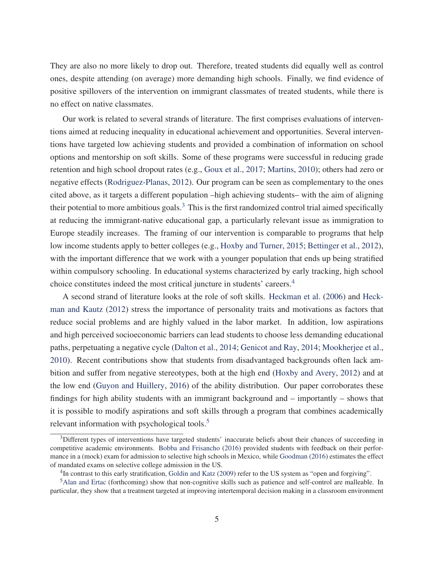They are also no more likely to drop out. Therefore, treated students did equally well as control ones, despite attending (on average) more demanding high schools. Finally, we find evidence of positive spillovers of the intervention on immigrant classmates of treated students, while there is no effect on native classmates.

Our work is related to several strands of literature. The first comprises evaluations of interventions aimed at reducing inequality in educational achievement and opportunities. Several interventions have targeted low achieving students and provided a combination of information on school options and mentorship on soft skills. Some of these programs were successful in reducing grade retention and high school dropout rates (e.g., Goux et al., 2017; Martins, 2010); others had zero or negative effects (Rodriguez-Planas, 2012). Our program can be seen as complementary to the ones cited above, as it targets a different population –high achieving students– with the aim of aligning their potential to more ambitious goals.<sup>3</sup> This is the first randomized control trial aimed specifically at reducing the immigrant-native educational gap, a particularly relevant issue as immigration to Europe steadily increases. The framing of our intervention is comparable to programs that help low income students apply to better colleges (e.g., Hoxby and Turner, 2015; Bettinger et al., 2012), with the important difference that we work with a younger population that ends up being stratified within compulsory schooling. In educational systems characterized by early tracking, high school choice constitutes indeed the most critical juncture in students' careers.4

A second strand of literature looks at the role of soft skills. Heckman et al. (2006) and Heckman and Kautz (2012) stress the importance of personality traits and motivations as factors that reduce social problems and are highly valued in the labor market. In addition, low aspirations and high perceived socioeconomic barriers can lead students to choose less demanding educational paths, perpetuating a negative cycle (Dalton et al., 2014; Genicot and Ray, 2014; Mookherjee et al., 2010). Recent contributions show that students from disadvantaged backgrounds often lack ambition and suffer from negative stereotypes, both at the high end (Hoxby and Avery, 2012) and at the low end (Guyon and Huillery, 2016) of the ability distribution. Our paper corroborates these findings for high ability students with an immigrant background and – importantly – shows that it is possible to modify aspirations and soft skills through a program that combines academically relevant information with psychological tools.<sup>5</sup>

 $3$ Different types of interventions have targeted students' inaccurate beliefs about their chances of succeeding in competitive academic environments. Bobba and Frisancho (2016) provided students with feedback on their performance in a (mock) exam for admission to selective high schools in Mexico, while Goodman (2016) estimates the effect of mandated exams on selective college admission in the US.

<sup>4</sup>In contrast to this early stratification, Goldin and Katz (2009) refer to the US system as "open and forgiving".

<sup>5</sup>Alan and Ertac (forthcoming) show that non-cognitive skills such as patience and self-control are malleable. In particular, they show that a treatment targeted at improving intertemporal decision making in a classroom environment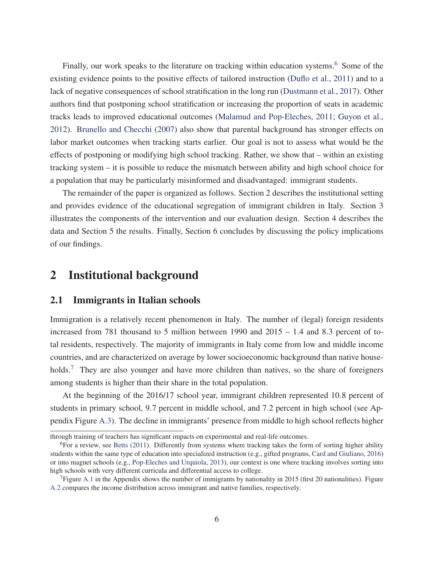Finally, our work speaks to the literature on tracking within education systems.<sup>6</sup> Some of the existing evidence points to the positive effects of tailored instruction (Duflo et al., 2011) and to a lack of negative consequences of school stratification in the long run (Dustmann et al., 2017). Other authors find that postponing school stratification or increasing the proportion of seats in academic tracks leads to improved educational outcomes (Malamud and Pop-Eleches, 2011; Guyon et al., 2012). Brunello and Checchi (2007) also show that parental background has stronger effects on labor market outcomes when tracking starts earlier. Our goal is not to assess what would be the effects of postponing or modifying high school tracking. Rather, we show that – within an existing tracking system – it is possible to reduce the mismatch between ability and high school choice for a population that may be particularly misinformed and disadvantaged: immigrant students.

The remainder of the paper is organized as follows. Section 2 describes the institutional setting and provides evidence of the educational segregation of immigrant children in Italy. Section 3 illustrates the components of the intervention and our evaluation design. Section 4 describes the data and Section 5 the results. Finally, Section 6 concludes by discussing the policy implications of our findings.

## 2 Institutional background

#### 2.1 Immigrants in Italian schools

Immigration is a relatively recent phenomenon in Italy. The number of (legal) foreign residents increased from 781 thousand to 5 million between 1990 and  $2015 - 1.4$  and 8.3 percent of total residents, respectively. The majority of immigrants in Italy come from low and middle income countries, and are characterized on average by lower socioeconomic background than native households.<sup>7</sup> They are also younger and have more children than natives, so the share of foreigners among students is higher than their share in the total population.

At the beginning of the 2016/17 school year, immigrant children represented 10.8 percent of students in primary school, 9.7 percent in middle school, and 7.2 percent in high school (see Appendix Figure A.3). The decline in immigrants' presence from middle to high school reflects higher

through training of teachers has significant impacts on experimental and real-life outcomes.

 $6$ For a review, see Betts (2011). Differently from systems where tracking takes the form of sorting higher ability students within the same type of education into specialized instruction (e.g., gifted programs, Card and Giuliano, 2016) or into magnet schools (e.g., Pop-Eleches and Urquiola, 2013), our context is one where tracking involves sorting into high schools with very different curricula and differential access to college.

 $7$ Figure A.1 in the Appendix shows the number of immigrants by nationality in 2015 (first 20 nationalities). Figure A.2 compares the income distribution across immigrant and native families, respectively.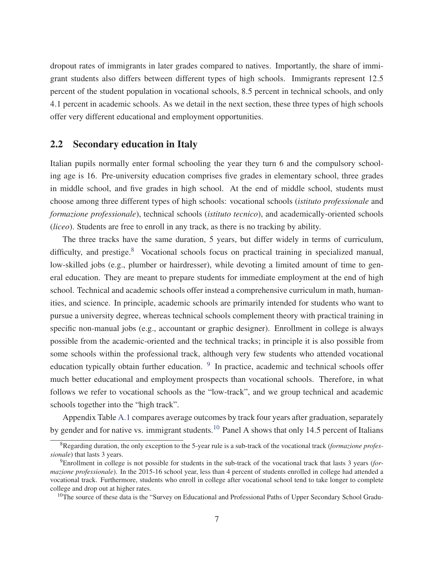dropout rates of immigrants in later grades compared to natives. Importantly, the share of immigrant students also differs between different types of high schools. Immigrants represent 12.5 percent of the student population in vocational schools, 8.5 percent in technical schools, and only 4.1 percent in academic schools. As we detail in the next section, these three types of high schools offer very different educational and employment opportunities.

#### 2.2 Secondary education in Italy

Italian pupils normally enter formal schooling the year they turn 6 and the compulsory schooling age is 16. Pre-university education comprises five grades in elementary school, three grades in middle school, and five grades in high school. At the end of middle school, students must choose among three different types of high schools: vocational schools (*istituto professionale* and *formazione professionale*), technical schools (*istituto tecnico*), and academically-oriented schools (*liceo*). Students are free to enroll in any track, as there is no tracking by ability.

The three tracks have the same duration, 5 years, but differ widely in terms of curriculum, difficulty, and prestige. $8$  Vocational schools focus on practical training in specialized manual, low-skilled jobs (e.g., plumber or hairdresser), while devoting a limited amount of time to general education. They are meant to prepare students for immediate employment at the end of high school. Technical and academic schools offer instead a comprehensive curriculum in math, humanities, and science. In principle, academic schools are primarily intended for students who want to pursue a university degree, whereas technical schools complement theory with practical training in specific non-manual jobs (e.g., accountant or graphic designer). Enrollment in college is always possible from the academic-oriented and the technical tracks; in principle it is also possible from some schools within the professional track, although very few students who attended vocational education typically obtain further education. <sup>9</sup> In practice, academic and technical schools offer much better educational and employment prospects than vocational schools. Therefore, in what follows we refer to vocational schools as the "low-track", and we group technical and academic schools together into the "high track".

Appendix Table A.1 compares average outcomes by track four years after graduation, separately by gender and for native vs. immigrant students.<sup>10</sup> Panel A shows that only 14.5 percent of Italians

<sup>8</sup>Regarding duration, the only exception to the 5-year rule is a sub-track of the vocational track (*formazione professionale*) that lasts 3 years.

<sup>9</sup>Enrollment in college is not possible for students in the sub-track of the vocational track that lasts 3 years (*formazione professionale*). In the 2015-16 school year, less than 4 percent of students enrolled in college had attended a vocational track. Furthermore, students who enroll in college after vocational school tend to take longer to complete college and drop out at higher rates.

<sup>&</sup>lt;sup>10</sup>The source of these data is the "Survey on Educational and Professional Paths of Upper Secondary School Gradu-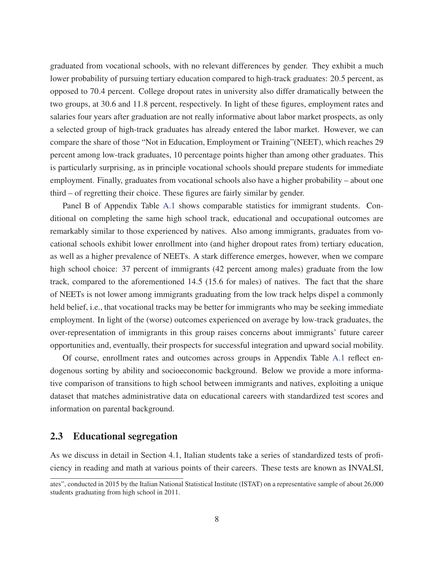graduated from vocational schools, with no relevant differences by gender. They exhibit a much lower probability of pursuing tertiary education compared to high-track graduates: 20.5 percent, as opposed to 70.4 percent. College dropout rates in university also differ dramatically between the two groups, at 30.6 and 11.8 percent, respectively. In light of these figures, employment rates and salaries four years after graduation are not really informative about labor market prospects, as only a selected group of high-track graduates has already entered the labor market. However, we can compare the share of those "Not in Education, Employment or Training"(NEET), which reaches 29 percent among low-track graduates, 10 percentage points higher than among other graduates. This is particularly surprising, as in principle vocational schools should prepare students for immediate employment. Finally, graduates from vocational schools also have a higher probability – about one third – of regretting their choice. These figures are fairly similar by gender.

Panel B of Appendix Table A.1 shows comparable statistics for immigrant students. Conditional on completing the same high school track, educational and occupational outcomes are remarkably similar to those experienced by natives. Also among immigrants, graduates from vocational schools exhibit lower enrollment into (and higher dropout rates from) tertiary education, as well as a higher prevalence of NEETs. A stark difference emerges, however, when we compare high school choice: 37 percent of immigrants (42 percent among males) graduate from the low track, compared to the aforementioned 14.5 (15.6 for males) of natives. The fact that the share of NEETs is not lower among immigrants graduating from the low track helps dispel a commonly held belief, i.e., that vocational tracks may be better for immigrants who may be seeking immediate employment. In light of the (worse) outcomes experienced on average by low-track graduates, the over-representation of immigrants in this group raises concerns about immigrants' future career opportunities and, eventually, their prospects for successful integration and upward social mobility.

Of course, enrollment rates and outcomes across groups in Appendix Table A.1 reflect endogenous sorting by ability and socioeconomic background. Below we provide a more informative comparison of transitions to high school between immigrants and natives, exploiting a unique dataset that matches administrative data on educational careers with standardized test scores and information on parental background.

#### 2.3 Educational segregation

As we discuss in detail in Section 4.1, Italian students take a series of standardized tests of proficiency in reading and math at various points of their careers. These tests are known as INVALSI,

ates", conducted in 2015 by the Italian National Statistical Institute (ISTAT) on a representative sample of about 26,000 students graduating from high school in 2011.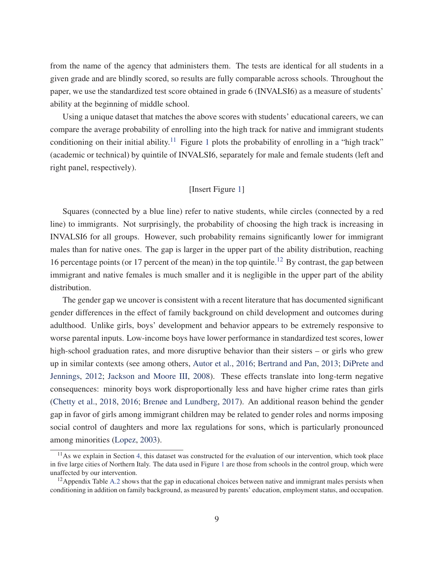from the name of the agency that administers them. The tests are identical for all students in a given grade and are blindly scored, so results are fully comparable across schools. Throughout the paper, we use the standardized test score obtained in grade 6 (INVALSI6) as a measure of students' ability at the beginning of middle school.

Using a unique dataset that matches the above scores with students' educational careers, we can compare the average probability of enrolling into the high track for native and immigrant students conditioning on their initial ability.<sup>11</sup> Figure 1 plots the probability of enrolling in a "high track" (academic or technical) by quintile of INVALSI6, separately for male and female students (left and right panel, respectively).

#### [Insert Figure 1]

Squares (connected by a blue line) refer to native students, while circles (connected by a red line) to immigrants. Not surprisingly, the probability of choosing the high track is increasing in INVALSI6 for all groups. However, such probability remains significantly lower for immigrant males than for native ones. The gap is larger in the upper part of the ability distribution, reaching 16 percentage points (or 17 percent of the mean) in the top quintile.<sup>12</sup> By contrast, the gap between immigrant and native females is much smaller and it is negligible in the upper part of the ability distribution.

The gender gap we uncover is consistent with a recent literature that has documented significant gender differences in the effect of family background on child development and outcomes during adulthood. Unlike girls, boys' development and behavior appears to be extremely responsive to worse parental inputs. Low-income boys have lower performance in standardized test scores, lower high-school graduation rates, and more disruptive behavior than their sisters – or girls who grew up in similar contexts (see among others, Autor et al., 2016; Bertrand and Pan, 2013; DiPrete and Jennings, 2012; Jackson and Moore III, 2008). These effects translate into long-term negative consequences: minority boys work disproportionally less and have higher crime rates than girls (Chetty et al., 2018, 2016; Brenøe and Lundberg, 2017). An additional reason behind the gender gap in favor of girls among immigrant children may be related to gender roles and norms imposing social control of daughters and more lax regulations for sons, which is particularly pronounced among minorities (Lopez, 2003).

 $11$ As we explain in Section 4, this dataset was constructed for the evaluation of our intervention, which took place in five large cities of Northern Italy. The data used in Figure 1 are those from schools in the control group, which were unaffected by our intervention.

<sup>&</sup>lt;sup>12</sup> Appendix Table A.2 shows that the gap in educational choices between native and immigrant males persists when conditioning in addition on family background, as measured by parents' education, employment status, and occupation.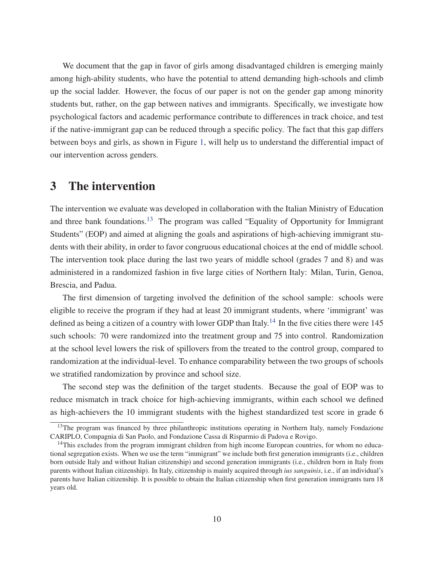We document that the gap in favor of girls among disadvantaged children is emerging mainly among high-ability students, who have the potential to attend demanding high-schools and climb up the social ladder. However, the focus of our paper is not on the gender gap among minority students but, rather, on the gap between natives and immigrants. Specifically, we investigate how psychological factors and academic performance contribute to differences in track choice, and test if the native-immigrant gap can be reduced through a specific policy. The fact that this gap differs between boys and girls, as shown in Figure 1, will help us to understand the differential impact of our intervention across genders.

## 3 The intervention

The intervention we evaluate was developed in collaboration with the Italian Ministry of Education and three bank foundations.<sup>13</sup> The program was called "Equality of Opportunity for Immigrant Students" (EOP) and aimed at aligning the goals and aspirations of high-achieving immigrant students with their ability, in order to favor congruous educational choices at the end of middle school. The intervention took place during the last two years of middle school (grades 7 and 8) and was administered in a randomized fashion in five large cities of Northern Italy: Milan, Turin, Genoa, Brescia, and Padua.

The first dimension of targeting involved the definition of the school sample: schools were eligible to receive the program if they had at least 20 immigrant students, where 'immigrant' was defined as being a citizen of a country with lower GDP than Italy.<sup>14</sup> In the five cities there were 145 such schools: 70 were randomized into the treatment group and 75 into control. Randomization at the school level lowers the risk of spillovers from the treated to the control group, compared to randomization at the individual-level. To enhance comparability between the two groups of schools we stratified randomization by province and school size.

The second step was the definition of the target students. Because the goal of EOP was to reduce mismatch in track choice for high-achieving immigrants, within each school we defined as high-achievers the 10 immigrant students with the highest standardized test score in grade 6

<sup>&</sup>lt;sup>13</sup>The program was financed by three philanthropic institutions operating in Northern Italy, namely Fondazione CARIPLO, Compagnia di San Paolo, and Fondazione Cassa di Risparmio di Padova e Rovigo.

<sup>&</sup>lt;sup>14</sup>This excludes from the program immigrant children from high income European countries, for whom no educational segregation exists. When we use the term "immigrant" we include both first generation immigrants (i.e., children born outside Italy and without Italian citizenship) and second generation immigrants (i.e., children born in Italy from parents without Italian citizenship). In Italy, citizenship is mainly acquired through *ius sanguinis*, i.e., if an individual's parents have Italian citizenship. It is possible to obtain the Italian citizenship when first generation immigrants turn 18 years old.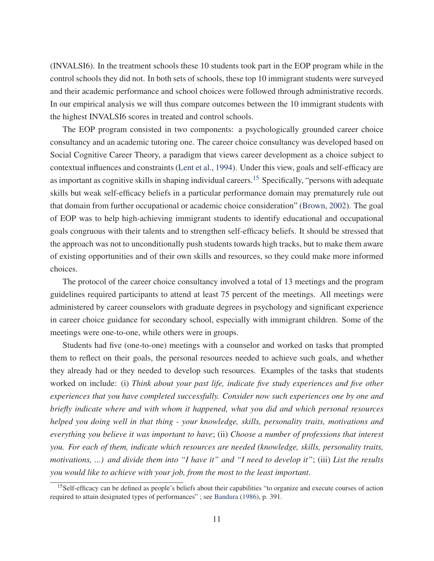(INVALSI6). In the treatment schools these 10 students took part in the EOP program while in the control schools they did not. In both sets of schools, these top 10 immigrant students were surveyed and their academic performance and school choices were followed through administrative records. In our empirical analysis we will thus compare outcomes between the 10 immigrant students with the highest INVALSI6 scores in treated and control schools.

The EOP program consisted in two components: a psychologically grounded career choice consultancy and an academic tutoring one. The career choice consultancy was developed based on Social Cognitive Career Theory, a paradigm that views career development as a choice subject to contextual influences and constraints (Lent et al., 1994). Under this view, goals and self-efficacy are as important as cognitive skills in shaping individual careers.<sup>15</sup> Specifically, "persons with adequate skills but weak self-efficacy beliefs in a particular performance domain may prematurely rule out that domain from further occupational or academic choice consideration" (Brown, 2002). The goal of EOP was to help high-achieving immigrant students to identify educational and occupational goals congruous with their talents and to strengthen self-efficacy beliefs. It should be stressed that the approach was not to unconditionally push students towards high tracks, but to make them aware of existing opportunities and of their own skills and resources, so they could make more informed choices.

The protocol of the career choice consultancy involved a total of 13 meetings and the program guidelines required participants to attend at least 75 percent of the meetings. All meetings were administered by career counselors with graduate degrees in psychology and significant experience in career choice guidance for secondary school, especially with immigrant children. Some of the meetings were one-to-one, while others were in groups.

Students had five (one-to-one) meetings with a counselor and worked on tasks that prompted them to reflect on their goals, the personal resources needed to achieve such goals, and whether they already had or they needed to develop such resources. Examples of the tasks that students worked on include: (i) *Think about your past life, indicate five study experiences and five other experiences that you have completed successfully. Consider now such experiences one by one and briefly indicate where and with whom it happened, what you did and which personal resources helped you doing well in that thing - your knowledge, skills, personality traits, motivations and everything you believe it was important to have*; (ii) *Choose a number of professions that interest you. For each of them, indicate which resources are needed (knowledge, skills, personality traits, motivations, ...) and divide them into "I have it" and "I need to develop it"*; (iii) *List the results you would like to achieve with your job, from the most to the least important*.

<sup>&</sup>lt;sup>15</sup>Self-efficacy can be defined as people's beliefs about their capabilities "to organize and execute courses of action required to attain designated types of performances" ; see Bandura (1986), p. 391.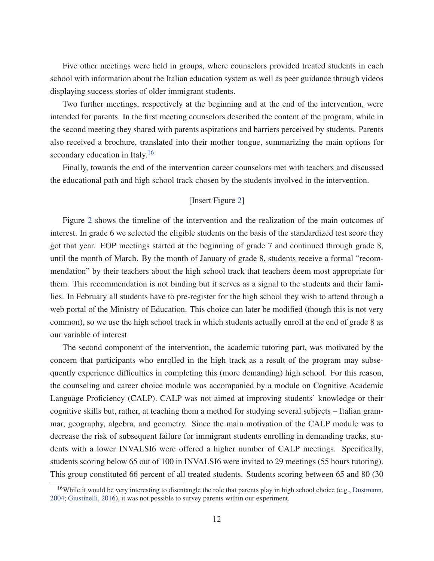Five other meetings were held in groups, where counselors provided treated students in each school with information about the Italian education system as well as peer guidance through videos displaying success stories of older immigrant students.

Two further meetings, respectively at the beginning and at the end of the intervention, were intended for parents. In the first meeting counselors described the content of the program, while in the second meeting they shared with parents aspirations and barriers perceived by students. Parents also received a brochure, translated into their mother tongue, summarizing the main options for secondary education in Italy.<sup>16</sup>

Finally, towards the end of the intervention career counselors met with teachers and discussed the educational path and high school track chosen by the students involved in the intervention.

#### [Insert Figure 2]

Figure 2 shows the timeline of the intervention and the realization of the main outcomes of interest. In grade 6 we selected the eligible students on the basis of the standardized test score they got that year. EOP meetings started at the beginning of grade 7 and continued through grade 8, until the month of March. By the month of January of grade 8, students receive a formal "recommendation" by their teachers about the high school track that teachers deem most appropriate for them. This recommendation is not binding but it serves as a signal to the students and their families. In February all students have to pre-register for the high school they wish to attend through a web portal of the Ministry of Education. This choice can later be modified (though this is not very common), so we use the high school track in which students actually enroll at the end of grade 8 as our variable of interest.

The second component of the intervention, the academic tutoring part, was motivated by the concern that participants who enrolled in the high track as a result of the program may subsequently experience difficulties in completing this (more demanding) high school. For this reason, the counseling and career choice module was accompanied by a module on Cognitive Academic Language Proficiency (CALP). CALP was not aimed at improving students' knowledge or their cognitive skills but, rather, at teaching them a method for studying several subjects – Italian grammar, geography, algebra, and geometry. Since the main motivation of the CALP module was to decrease the risk of subsequent failure for immigrant students enrolling in demanding tracks, students with a lower INVALSI6 were offered a higher number of CALP meetings. Specifically, students scoring below 65 out of 100 in INVALSI6 were invited to 29 meetings (55 hours tutoring). This group constituted 66 percent of all treated students. Students scoring between 65 and 80 (30

<sup>&</sup>lt;sup>16</sup>While it would be very interesting to disentangle the role that parents play in high school choice (e.g., Dustmann, 2004; Giustinelli, 2016), it was not possible to survey parents within our experiment.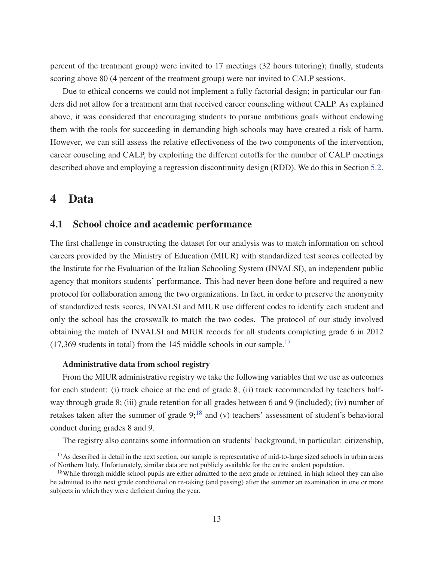percent of the treatment group) were invited to 17 meetings (32 hours tutoring); finally, students scoring above 80 (4 percent of the treatment group) were not invited to CALP sessions.

Due to ethical concerns we could not implement a fully factorial design; in particular our funders did not allow for a treatment arm that received career counseling without CALP. As explained above, it was considered that encouraging students to pursue ambitious goals without endowing them with the tools for succeeding in demanding high schools may have created a risk of harm. However, we can still assess the relative effectiveness of the two components of the intervention, career couseling and CALP, by exploiting the different cutoffs for the number of CALP meetings described above and employing a regression discontinuity design (RDD). We do this in Section 5.2.

## 4 Data

#### 4.1 School choice and academic performance

The first challenge in constructing the dataset for our analysis was to match information on school careers provided by the Ministry of Education (MIUR) with standardized test scores collected by the Institute for the Evaluation of the Italian Schooling System (INVALSI), an independent public agency that monitors students' performance. This had never been done before and required a new protocol for collaboration among the two organizations. In fact, in order to preserve the anonymity of standardized tests scores, INVALSI and MIUR use different codes to identify each student and only the school has the crosswalk to match the two codes. The protocol of our study involved obtaining the match of INVALSI and MIUR records for all students completing grade 6 in 2012  $(17,369$  students in total) from the 145 middle schools in our sample.<sup>17</sup>

#### Administrative data from school registry

From the MIUR administrative registry we take the following variables that we use as outcomes for each student: (i) track choice at the end of grade 8; (ii) track recommended by teachers halfway through grade 8; (iii) grade retention for all grades between 6 and 9 (included); (iv) number of retakes taken after the summer of grade  $9$ ;<sup>18</sup> and (v) teachers' assessment of student's behavioral conduct during grades 8 and 9.

The registry also contains some information on students' background, in particular: citizenship,

 $17$ As described in detail in the next section, our sample is representative of mid-to-large sized schools in urban areas of Northern Italy. Unfortunately, similar data are not publicly available for the entire student population.

<sup>&</sup>lt;sup>18</sup>While through middle school pupils are either admitted to the next grade or retained, in high school they can also be admitted to the next grade conditional on re-taking (and passing) after the summer an examination in one or more subjects in which they were deficient during the year.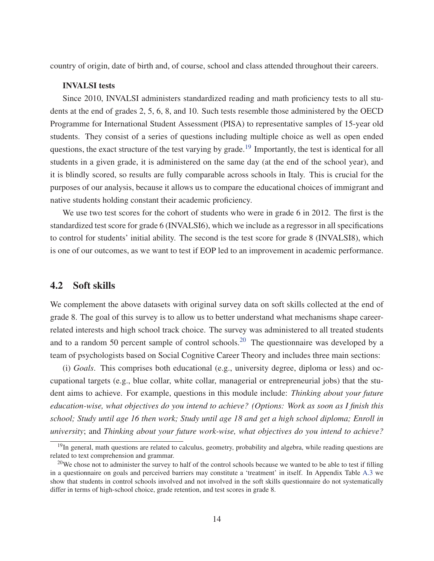country of origin, date of birth and, of course, school and class attended throughout their careers.

#### INVALSI tests

Since 2010, INVALSI administers standardized reading and math proficiency tests to all students at the end of grades 2, 5, 6, 8, and 10. Such tests resemble those administered by the OECD Programme for International Student Assessment (PISA) to representative samples of 15-year old students. They consist of a series of questions including multiple choice as well as open ended questions, the exact structure of the test varying by grade.<sup>19</sup> Importantly, the test is identical for all students in a given grade, it is administered on the same day (at the end of the school year), and it is blindly scored, so results are fully comparable across schools in Italy. This is crucial for the purposes of our analysis, because it allows us to compare the educational choices of immigrant and native students holding constant their academic proficiency.

We use two test scores for the cohort of students who were in grade 6 in 2012. The first is the standardized test score for grade 6 (INVALSI6), which we include as a regressor in all specifications to control for students' initial ability. The second is the test score for grade 8 (INVALSI8), which is one of our outcomes, as we want to test if EOP led to an improvement in academic performance.

#### 4.2 Soft skills

We complement the above datasets with original survey data on soft skills collected at the end of grade 8. The goal of this survey is to allow us to better understand what mechanisms shape careerrelated interests and high school track choice. The survey was administered to all treated students and to a random 50 percent sample of control schools.<sup>20</sup> The questionnaire was developed by a team of psychologists based on Social Cognitive Career Theory and includes three main sections:

(i) *Goals*. This comprises both educational (e.g., university degree, diploma or less) and occupational targets (e.g., blue collar, white collar, managerial or entrepreneurial jobs) that the student aims to achieve. For example, questions in this module include: *Thinking about your future education-wise, what objectives do you intend to achieve? (Options: Work as soon as I finish this school; Study until age 16 then work; Study until age 18 and get a high school diploma; Enroll in university*; and *Thinking about your future work-wise, what objectives do you intend to achieve?*

 $19$ In general, math questions are related to calculus, geometry, probability and algebra, while reading questions are related to text comprehension and grammar.

 $20$ We chose not to administer the survey to half of the control schools because we wanted to be able to test if filling in a questionnaire on goals and perceived barriers may constitute a 'treatment' in itself. In Appendix Table A.3 we show that students in control schools involved and not involved in the soft skills questionnaire do not systematically differ in terms of high-school choice, grade retention, and test scores in grade 8.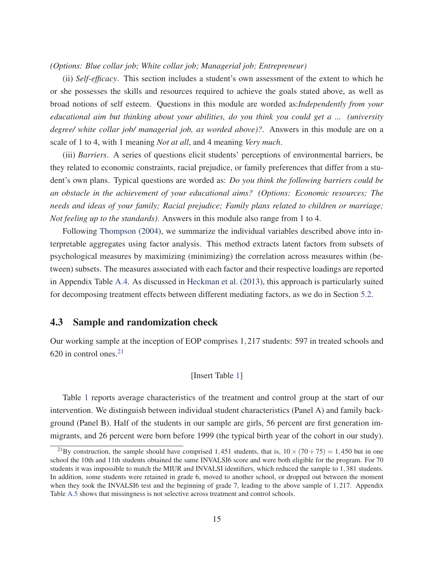#### *(Options: Blue collar job; White collar job; Managerial job; Entrepreneur)*

(ii) *Self-efficacy*. This section includes a student's own assessment of the extent to which he or she possesses the skills and resources required to achieve the goals stated above, as well as broad notions of self esteem. Questions in this module are worded as:*Independently from your educational aim but thinking about your abilities, do you think you could get a ... (university degree/ white collar job/ managerial job, as worded above)?*. Answers in this module are on a scale of 1 to 4, with 1 meaning *Not at all*, and 4 meaning *Very much*.

(iii) *Barriers*. A series of questions elicit students' perceptions of environmental barriers, be they related to economic constraints, racial prejudice, or family preferences that differ from a student's own plans. Typical questions are worded as: *Do you think the following barriers could be an obstacle in the achievement of your educational aims? (Options: Economic resources; The needs and ideas of your family; Racial prejudice; Family plans related to children or marriage; Not feeling up to the standards)*. Answers in this module also range from 1 to 4.

Following Thompson (2004), we summarize the individual variables described above into interpretable aggregates using factor analysis. This method extracts latent factors from subsets of psychological measures by maximizing (minimizing) the correlation across measures within (between) subsets. The measures associated with each factor and their respective loadings are reported in Appendix Table A.4. As discussed in Heckman et al. (2013), this approach is particularly suited for decomposing treatment effects between different mediating factors, as we do in Section 5.2.

#### 4.3 Sample and randomization check

Our working sample at the inception of EOP comprises 1,217 students: 597 in treated schools and 620 in control ones. $21$ 

#### [Insert Table 1]

Table 1 reports average characteristics of the treatment and control group at the start of our intervention. We distinguish between individual student characteristics (Panel A) and family background (Panel B). Half of the students in our sample are girls, 56 percent are first generation immigrants, and 26 percent were born before 1999 (the typical birth year of the cohort in our study).

<sup>&</sup>lt;sup>21</sup>By construction, the sample should have comprised 1,451 students, that is,  $10 \times (70 + 75) = 1,450$  but in one school the 10th and 11th students obtained the same INVALSI6 score and were both eligible for the program. For 70 students it was impossible to match the MIUR and INVALSI identifiers, which reduced the sample to 1,381 students. In addition, some students were retained in grade 6, moved to another school, or dropped out between the moment when they took the INVALSI6 test and the beginning of grade 7, leading to the above sample of 1,217. Appendix Table A.5 shows that missingness is not selective across treatment and control schools.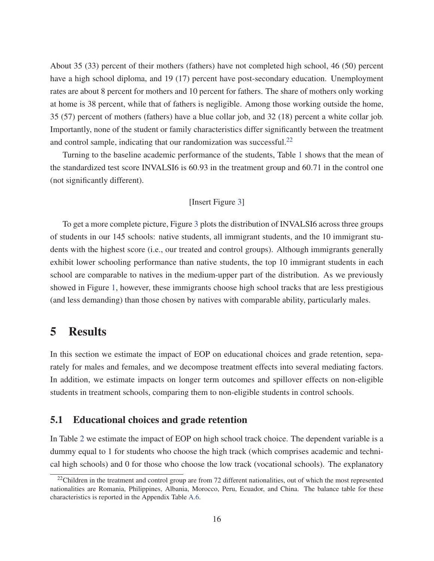About 35 (33) percent of their mothers (fathers) have not completed high school, 46 (50) percent have a high school diploma, and 19 (17) percent have post-secondary education. Unemployment rates are about 8 percent for mothers and 10 percent for fathers. The share of mothers only working at home is 38 percent, while that of fathers is negligible. Among those working outside the home, 35 (57) percent of mothers (fathers) have a blue collar job, and 32 (18) percent a white collar job. Importantly, none of the student or family characteristics differ significantly between the treatment and control sample, indicating that our randomization was successful.<sup>22</sup>

Turning to the baseline academic performance of the students, Table 1 shows that the mean of the standardized test score INVALSI6 is 60.93 in the treatment group and 60.71 in the control one (not significantly different).

#### [Insert Figure 3]

To get a more complete picture, Figure 3 plots the distribution of INVALSI6 across three groups of students in our 145 schools: native students, all immigrant students, and the 10 immigrant students with the highest score (i.e., our treated and control groups). Although immigrants generally exhibit lower schooling performance than native students, the top 10 immigrant students in each school are comparable to natives in the medium-upper part of the distribution. As we previously showed in Figure 1, however, these immigrants choose high school tracks that are less prestigious (and less demanding) than those chosen by natives with comparable ability, particularly males.

## 5 Results

In this section we estimate the impact of EOP on educational choices and grade retention, separately for males and females, and we decompose treatment effects into several mediating factors. In addition, we estimate impacts on longer term outcomes and spillover effects on non-eligible students in treatment schools, comparing them to non-eligible students in control schools.

#### 5.1 Educational choices and grade retention

In Table 2 we estimate the impact of EOP on high school track choice. The dependent variable is a dummy equal to 1 for students who choose the high track (which comprises academic and technical high schools) and 0 for those who choose the low track (vocational schools). The explanatory

 $22$ Children in the treatment and control group are from 72 different nationalities, out of which the most represented nationalities are Romania, Philippines, Albania, Morocco, Peru, Ecuador, and China. The balance table for these characteristics is reported in the Appendix Table A.6.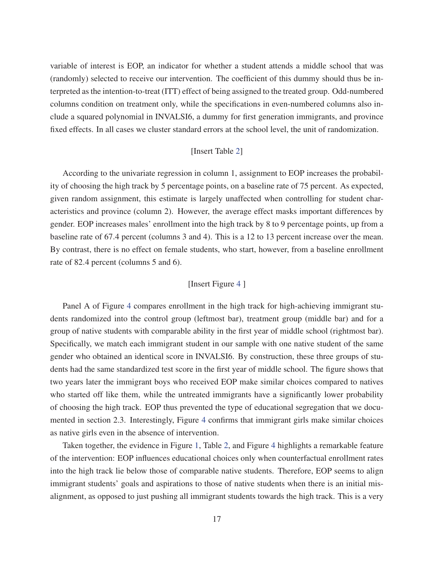variable of interest is EOP, an indicator for whether a student attends a middle school that was (randomly) selected to receive our intervention. The coefficient of this dummy should thus be interpreted as the intention-to-treat (ITT) effect of being assigned to the treated group. Odd-numbered columns condition on treatment only, while the specifications in even-numbered columns also include a squared polynomial in INVALSI6, a dummy for first generation immigrants, and province fixed effects. In all cases we cluster standard errors at the school level, the unit of randomization.

#### [Insert Table 2]

According to the univariate regression in column 1, assignment to EOP increases the probability of choosing the high track by 5 percentage points, on a baseline rate of 75 percent. As expected, given random assignment, this estimate is largely unaffected when controlling for student characteristics and province (column 2). However, the average effect masks important differences by gender. EOP increases males' enrollment into the high track by 8 to 9 percentage points, up from a baseline rate of 67.4 percent (columns 3 and 4). This is a 12 to 13 percent increase over the mean. By contrast, there is no effect on female students, who start, however, from a baseline enrollment rate of 82.4 percent (columns 5 and 6).

#### [Insert Figure 4 ]

Panel A of Figure 4 compares enrollment in the high track for high-achieving immigrant students randomized into the control group (leftmost bar), treatment group (middle bar) and for a group of native students with comparable ability in the first year of middle school (rightmost bar). Specifically, we match each immigrant student in our sample with one native student of the same gender who obtained an identical score in INVALSI6. By construction, these three groups of students had the same standardized test score in the first year of middle school. The figure shows that two years later the immigrant boys who received EOP make similar choices compared to natives who started off like them, while the untreated immigrants have a significantly lower probability of choosing the high track. EOP thus prevented the type of educational segregation that we documented in section 2.3. Interestingly, Figure 4 confirms that immigrant girls make similar choices as native girls even in the absence of intervention.

Taken together, the evidence in Figure 1, Table 2, and Figure 4 highlights a remarkable feature of the intervention: EOP influences educational choices only when counterfactual enrollment rates into the high track lie below those of comparable native students. Therefore, EOP seems to align immigrant students' goals and aspirations to those of native students when there is an initial misalignment, as opposed to just pushing all immigrant students towards the high track. This is a very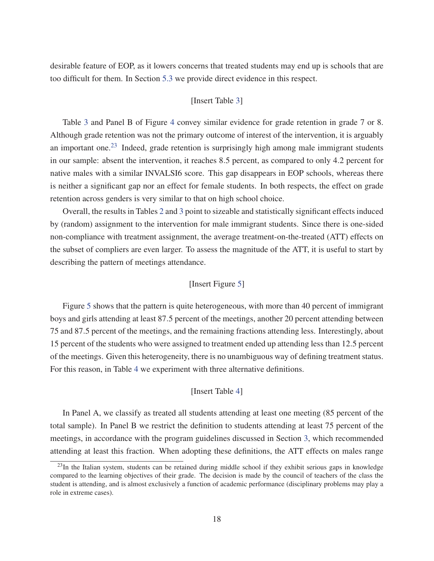desirable feature of EOP, as it lowers concerns that treated students may end up is schools that are too difficult for them. In Section 5.3 we provide direct evidence in this respect.

#### [Insert Table 3]

Table 3 and Panel B of Figure 4 convey similar evidence for grade retention in grade 7 or 8. Although grade retention was not the primary outcome of interest of the intervention, it is arguably an important one.<sup>23</sup> Indeed, grade retention is surprisingly high among male immigrant students in our sample: absent the intervention, it reaches 8.5 percent, as compared to only 4.2 percent for native males with a similar INVALSI6 score. This gap disappears in EOP schools, whereas there is neither a significant gap nor an effect for female students. In both respects, the effect on grade retention across genders is very similar to that on high school choice.

Overall, the results in Tables 2 and 3 point to sizeable and statistically significant effects induced by (random) assignment to the intervention for male immigrant students. Since there is one-sided non-compliance with treatment assignment, the average treatment-on-the-treated (ATT) effects on the subset of compliers are even larger. To assess the magnitude of the ATT, it is useful to start by describing the pattern of meetings attendance.

#### [Insert Figure 5]

Figure 5 shows that the pattern is quite heterogeneous, with more than 40 percent of immigrant boys and girls attending at least 87.5 percent of the meetings, another 20 percent attending between 75 and 87.5 percent of the meetings, and the remaining fractions attending less. Interestingly, about 15 percent of the students who were assigned to treatment ended up attending less than 12.5 percent of the meetings. Given this heterogeneity, there is no unambiguous way of defining treatment status. For this reason, in Table 4 we experiment with three alternative definitions.

#### [Insert Table 4]

In Panel A, we classify as treated all students attending at least one meeting (85 percent of the total sample). In Panel B we restrict the definition to students attending at least 75 percent of the meetings, in accordance with the program guidelines discussed in Section 3, which recommended attending at least this fraction. When adopting these definitions, the ATT effects on males range

 $^{23}$ In the Italian system, students can be retained during middle school if they exhibit serious gaps in knowledge compared to the learning objectives of their grade. The decision is made by the council of teachers of the class the student is attending, and is almost exclusively a function of academic performance (disciplinary problems may play a role in extreme cases).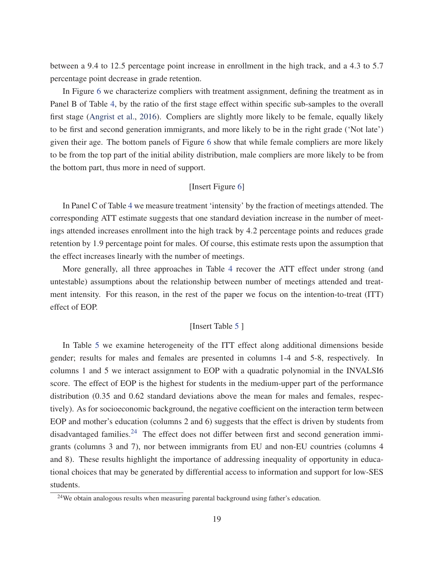between a 9.4 to 12.5 percentage point increase in enrollment in the high track, and a 4.3 to 5.7 percentage point decrease in grade retention.

In Figure 6 we characterize compliers with treatment assignment, defining the treatment as in Panel B of Table 4, by the ratio of the first stage effect within specific sub-samples to the overall first stage (Angrist et al., 2016). Compliers are slightly more likely to be female, equally likely to be first and second generation immigrants, and more likely to be in the right grade ('Not late') given their age. The bottom panels of Figure 6 show that while female compliers are more likely to be from the top part of the initial ability distribution, male compliers are more likely to be from the bottom part, thus more in need of support.

#### [Insert Figure 6]

In Panel C of Table 4 we measure treatment 'intensity' by the fraction of meetings attended. The corresponding ATT estimate suggests that one standard deviation increase in the number of meetings attended increases enrollment into the high track by 4.2 percentage points and reduces grade retention by 1.9 percentage point for males. Of course, this estimate rests upon the assumption that the effect increases linearly with the number of meetings.

More generally, all three approaches in Table 4 recover the ATT effect under strong (and untestable) assumptions about the relationship between number of meetings attended and treatment intensity. For this reason, in the rest of the paper we focus on the intention-to-treat (ITT) effect of EOP.

#### [Insert Table 5 ]

In Table 5 we examine heterogeneity of the ITT effect along additional dimensions beside gender; results for males and females are presented in columns 1-4 and 5-8, respectively. In columns 1 and 5 we interact assignment to EOP with a quadratic polynomial in the INVALSI6 score. The effect of EOP is the highest for students in the medium-upper part of the performance distribution (0.35 and 0.62 standard deviations above the mean for males and females, respectively). As for socioeconomic background, the negative coefficient on the interaction term between EOP and mother's education (columns 2 and 6) suggests that the effect is driven by students from disadvantaged families. $24$  The effect does not differ between first and second generation immigrants (columns 3 and 7), nor between immigrants from EU and non-EU countries (columns 4 and 8). These results highlight the importance of addressing inequality of opportunity in educational choices that may be generated by differential access to information and support for low-SES students.

<sup>24</sup>We obtain analogous results when measuring parental background using father's education.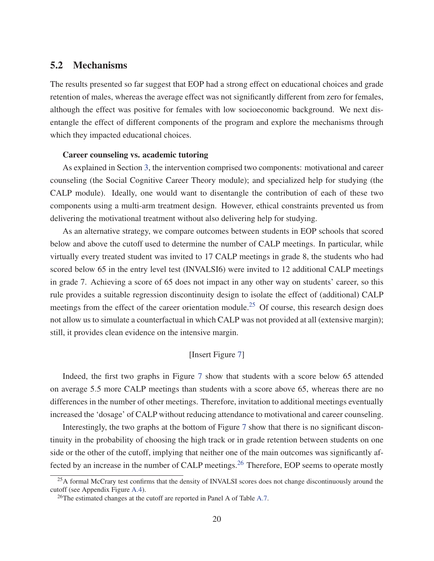#### 5.2 Mechanisms

The results presented so far suggest that EOP had a strong effect on educational choices and grade retention of males, whereas the average effect was not significantly different from zero for females, although the effect was positive for females with low socioeconomic background. We next disentangle the effect of different components of the program and explore the mechanisms through which they impacted educational choices.

#### Career counseling vs. academic tutoring

As explained in Section 3, the intervention comprised two components: motivational and career counseling (the Social Cognitive Career Theory module); and specialized help for studying (the CALP module). Ideally, one would want to disentangle the contribution of each of these two components using a multi-arm treatment design. However, ethical constraints prevented us from delivering the motivational treatment without also delivering help for studying.

As an alternative strategy, we compare outcomes between students in EOP schools that scored below and above the cutoff used to determine the number of CALP meetings. In particular, while virtually every treated student was invited to 17 CALP meetings in grade 8, the students who had scored below 65 in the entry level test (INVALSI6) were invited to 12 additional CALP meetings in grade 7. Achieving a score of 65 does not impact in any other way on students' career, so this rule provides a suitable regression discontinuity design to isolate the effect of (additional) CALP meetings from the effect of the career orientation module.<sup>25</sup> Of course, this research design does not allow us to simulate a counterfactual in which CALP was not provided at all (extensive margin); still, it provides clean evidence on the intensive margin.

#### [Insert Figure 7]

Indeed, the first two graphs in Figure 7 show that students with a score below 65 attended on average 5.5 more CALP meetings than students with a score above 65, whereas there are no differences in the number of other meetings. Therefore, invitation to additional meetings eventually increased the 'dosage' of CALP without reducing attendance to motivational and career counseling.

Interestingly, the two graphs at the bottom of Figure 7 show that there is no significant discontinuity in the probability of choosing the high track or in grade retention between students on one side or the other of the cutoff, implying that neither one of the main outcomes was significantly affected by an increase in the number of CALP meetings.<sup>26</sup> Therefore, EOP seems to operate mostly

<sup>&</sup>lt;sup>25</sup>A formal McCrary test confirms that the density of INVALSI scores does not change discontinuously around the cutoff (see Appendix Figure A.4).

<sup>&</sup>lt;sup>26</sup>The estimated changes at the cutoff are reported in Panel A of Table A.7.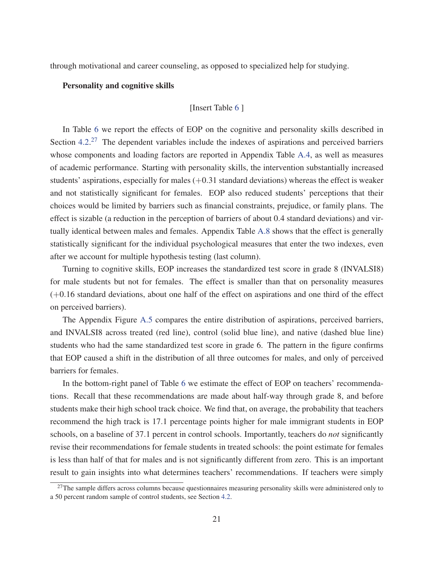through motivational and career counseling, as opposed to specialized help for studying.

#### Personality and cognitive skills

#### [Insert Table 6 ]

In Table 6 we report the effects of EOP on the cognitive and personality skills described in Section  $4.2<sup>27</sup>$  The dependent variables include the indexes of aspirations and perceived barriers whose components and loading factors are reported in Appendix Table A.4, as well as measures of academic performance. Starting with personality skills, the intervention substantially increased students' aspirations, especially for males  $(+0.31$  standard deviations) whereas the effect is weaker and not statistically significant for females. EOP also reduced students' perceptions that their choices would be limited by barriers such as financial constraints, prejudice, or family plans. The effect is sizable (a reduction in the perception of barriers of about 0.4 standard deviations) and virtually identical between males and females. Appendix Table A.8 shows that the effect is generally statistically significant for the individual psychological measures that enter the two indexes, even after we account for multiple hypothesis testing (last column).

Turning to cognitive skills, EOP increases the standardized test score in grade 8 (INVALSI8) for male students but not for females. The effect is smaller than that on personality measures (+0.16 standard deviations, about one half of the effect on aspirations and one third of the effect on perceived barriers).

The Appendix Figure A.5 compares the entire distribution of aspirations, perceived barriers, and INVALSI8 across treated (red line), control (solid blue line), and native (dashed blue line) students who had the same standardized test score in grade 6. The pattern in the figure confirms that EOP caused a shift in the distribution of all three outcomes for males, and only of perceived barriers for females.

In the bottom-right panel of Table 6 we estimate the effect of EOP on teachers' recommendations. Recall that these recommendations are made about half-way through grade 8, and before students make their high school track choice. We find that, on average, the probability that teachers recommend the high track is 17.1 percentage points higher for male immigrant students in EOP schools, on a baseline of 37.1 percent in control schools. Importantly, teachers do *not* significantly revise their recommendations for female students in treated schools: the point estimate for females is less than half of that for males and is not significantly different from zero. This is an important result to gain insights into what determines teachers' recommendations. If teachers were simply

 $27$ The sample differs across columns because questionnaires measuring personality skills were administered only to a 50 percent random sample of control students, see Section 4.2.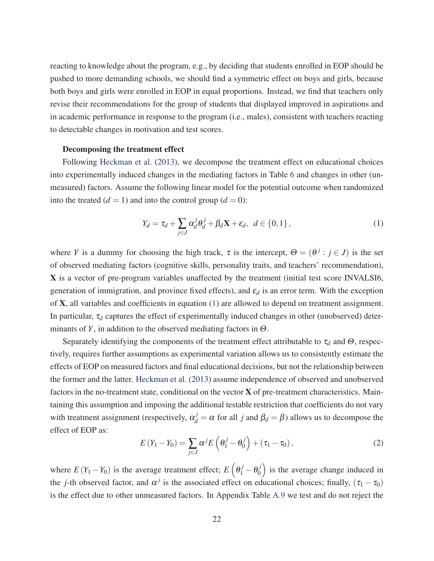reacting to knowledge about the program, e.g., by deciding that students enrolled in EOP should be pushed to more demanding schools, we should find a symmetric effect on boys and girls, because both boys and girls were enrolled in EOP in equal proportions. Instead, we find that teachers only revise their recommendations for the group of students that displayed improved in aspirations and in academic performance in response to the program (i.e., males), consistent with teachers reacting to detectable changes in motivation and test scores.

#### Decomposing the treatment effect

Following Heckman et al. (2013), we decompose the treatment effect on educational choices into experimentally induced changes in the mediating factors in Table 6 and changes in other (unmeasured) factors. Assume the following linear model for the potential outcome when randomized into the treated  $(d = 1)$  and into the control group  $(d = 0)$ :

$$
Y_d = \tau_d + \sum_{j \in J} \alpha_d^j \theta_d^j + \beta_d \mathbf{X} + \varepsilon_d, \ d \in \{0, 1\},\tag{1}
$$

where *Y* is a dummy for choosing the high track,  $\tau$  is the intercept,  $\Theta = (\theta^{j} : j \in J)$  is the set of observed mediating factors (cognitive skills, personality traits, and teachers' recommendation), X is a vector of pre-program variables unaffected by the treatment (initial test score INVALSI6, generation of immigration, and province fixed effects), and  $\varepsilon_d$  is an error term. With the exception of X, all variables and coefficients in equation (1) are allowed to depend on treatment assignment. In particular,  $\tau_d$  captures the effect of experimentally induced changes in other (unobserved) determinants of *Y*, in addition to the observed mediating factors in  $\Theta$ .

Separately identifying the components of the treatment effect attributable to  $\tau_d$  and  $\Theta$ , respectively, requires further assumptions as experimental variation allows us to consistently estimate the effects of EOP on measured factors and final educational decisions, but not the relationship between the former and the latter. Heckman et al. (2013) assume independence of observed and unobserved factors in the no-treatment state, conditional on the vector  $X$  of pre-treatment characteristics. Maintaining this assumption and imposing the additional testable restriction that coefficients do not vary with treatment assignment (respectively,  $\alpha_d^j = \alpha$  for all *j* and  $\beta_d = \beta$ ) allows us to decompose the effect of EOP as:

$$
E(Y_1 - Y_0) = \sum_{j \in J} \alpha^j E\left(\theta_1^j - \theta_0^j\right) + \left(\tau_1 - \tau_0\right),\tag{2}
$$

where  $E(Y_1 - Y_0)$  is the average treatment effect;  $E\left(\theta_1^j - \theta_0^j\right)$  is the average change induced in the *j*-th observed factor, and  $\alpha^{j}$  is the associated effect on educational choices; finally, ( $\tau_1 - \tau_0$ ) is the effect due to other unmeasured factors. In Appendix Table A.9 we test and do not reject the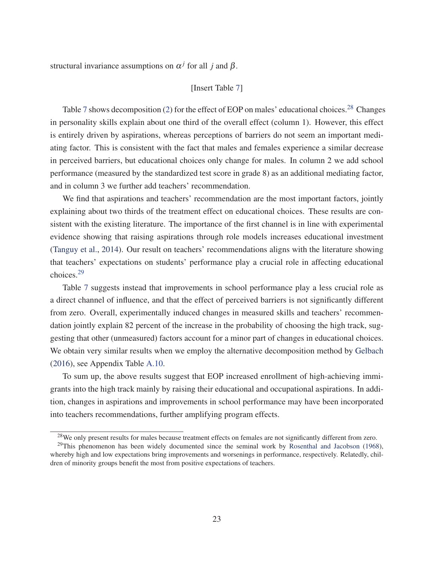structural invariance assumptions on  $\alpha^{j}$  for all *j* and  $\beta$ .

#### [Insert Table 7]

Table 7 shows decomposition (2) for the effect of EOP on males' educational choices.<sup>28</sup> Changes in personality skills explain about one third of the overall effect (column 1). However, this effect is entirely driven by aspirations, whereas perceptions of barriers do not seem an important mediating factor. This is consistent with the fact that males and females experience a similar decrease in perceived barriers, but educational choices only change for males. In column 2 we add school performance (measured by the standardized test score in grade 8) as an additional mediating factor, and in column 3 we further add teachers' recommendation.

We find that aspirations and teachers' recommendation are the most important factors, jointly explaining about two thirds of the treatment effect on educational choices. These results are consistent with the existing literature. The importance of the first channel is in line with experimental evidence showing that raising aspirations through role models increases educational investment (Tanguy et al., 2014). Our result on teachers' recommendations aligns with the literature showing that teachers' expectations on students' performance play a crucial role in affecting educational choices.29

Table 7 suggests instead that improvements in school performance play a less crucial role as a direct channel of influence, and that the effect of perceived barriers is not significantly different from zero. Overall, experimentally induced changes in measured skills and teachers' recommendation jointly explain 82 percent of the increase in the probability of choosing the high track, suggesting that other (unmeasured) factors account for a minor part of changes in educational choices. We obtain very similar results when we employ the alternative decomposition method by Gelbach (2016), see Appendix Table A.10.

To sum up, the above results suggest that EOP increased enrollment of high-achieving immigrants into the high track mainly by raising their educational and occupational aspirations. In addition, changes in aspirations and improvements in school performance may have been incorporated into teachers recommendations, further amplifying program effects.

<sup>&</sup>lt;sup>28</sup>We only present results for males because treatment effects on females are not significantly different from zero.

 $^{29}$ This phenomenon has been widely documented since the seminal work by Rosenthal and Jacobson (1968), whereby high and low expectations bring improvements and worsenings in performance, respectively. Relatedly, children of minority groups benefit the most from positive expectations of teachers.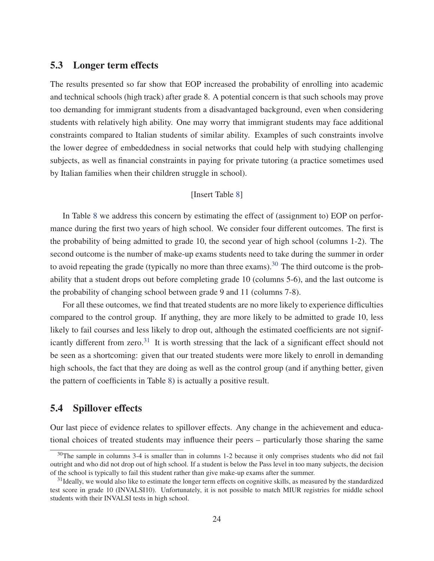#### 5.3 Longer term effects

The results presented so far show that EOP increased the probability of enrolling into academic and technical schools (high track) after grade 8. A potential concern is that such schools may prove too demanding for immigrant students from a disadvantaged background, even when considering students with relatively high ability. One may worry that immigrant students may face additional constraints compared to Italian students of similar ability. Examples of such constraints involve the lower degree of embeddedness in social networks that could help with studying challenging subjects, as well as financial constraints in paying for private tutoring (a practice sometimes used by Italian families when their children struggle in school).

#### [Insert Table 8]

In Table 8 we address this concern by estimating the effect of (assignment to) EOP on performance during the first two years of high school. We consider four different outcomes. The first is the probability of being admitted to grade 10, the second year of high school (columns 1-2). The second outcome is the number of make-up exams students need to take during the summer in order to avoid repeating the grade (typically no more than three exams).<sup>30</sup> The third outcome is the probability that a student drops out before completing grade 10 (columns 5-6), and the last outcome is the probability of changing school between grade 9 and 11 (columns 7-8).

For all these outcomes, we find that treated students are no more likely to experience difficulties compared to the control group. If anything, they are more likely to be admitted to grade 10, less likely to fail courses and less likely to drop out, although the estimated coefficients are not significantly different from zero.<sup>31</sup> It is worth stressing that the lack of a significant effect should not be seen as a shortcoming: given that our treated students were more likely to enroll in demanding high schools, the fact that they are doing as well as the control group (and if anything better, given the pattern of coefficients in Table 8) is actually a positive result.

#### 5.4 Spillover effects

Our last piece of evidence relates to spillover effects. Any change in the achievement and educational choices of treated students may influence their peers – particularly those sharing the same

<sup>&</sup>lt;sup>30</sup>The sample in columns 3-4 is smaller than in columns 1-2 because it only comprises students who did not fail outright and who did not drop out of high school. If a student is below the Pass level in too many subjects, the decision of the school is typically to fail this student rather than give make-up exams after the summer.

<sup>&</sup>lt;sup>31</sup>Ideally, we would also like to estimate the longer term effects on cognitive skills, as measured by the standardized test score in grade 10 (INVALSI10). Unfortunately, it is not possible to match MIUR registries for middle school students with their INVALSI tests in high school.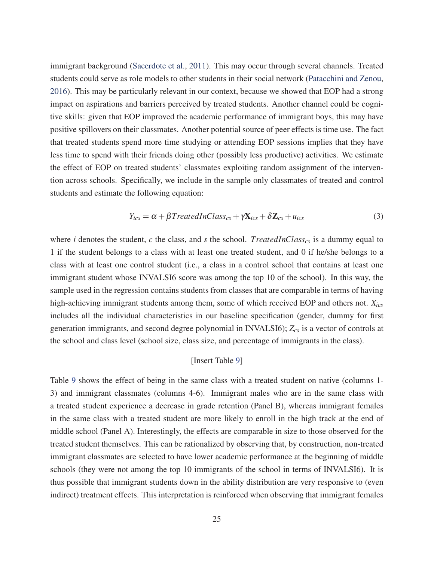immigrant background (Sacerdote et al., 2011). This may occur through several channels. Treated students could serve as role models to other students in their social network (Patacchini and Zenou, 2016). This may be particularly relevant in our context, because we showed that EOP had a strong impact on aspirations and barriers perceived by treated students. Another channel could be cognitive skills: given that EOP improved the academic performance of immigrant boys, this may have positive spillovers on their classmates. Another potential source of peer effects is time use. The fact that treated students spend more time studying or attending EOP sessions implies that they have less time to spend with their friends doing other (possibly less productive) activities. We estimate the effect of EOP on treated students' classmates exploiting random assignment of the intervention across schools. Specifically, we include in the sample only classmates of treated and control students and estimate the following equation:

$$
Y_{ics} = \alpha + \beta TreatedInClass_{cs} + \gamma \mathbf{X}_{ics} + \delta \mathbf{Z}_{cs} + u_{ics}
$$
 (3)

where *i* denotes the student, *c* the class, and *s* the school. *TreatedInClass<sub>cs</sub>* is a dummy equal to 1 if the student belongs to a class with at least one treated student, and 0 if he/she belongs to a class with at least one control student (i.e., a class in a control school that contains at least one immigrant student whose INVALSI6 score was among the top 10 of the school). In this way, the sample used in the regression contains students from classes that are comparable in terms of having high-achieving immigrant students among them, some of which received EOP and others not. *Xics* includes all the individual characteristics in our baseline specification (gender, dummy for first generation immigrants, and second degree polynomial in INVALSI6); *Zcs* is a vector of controls at the school and class level (school size, class size, and percentage of immigrants in the class).

#### [Insert Table 9]

Table 9 shows the effect of being in the same class with a treated student on native (columns 1- 3) and immigrant classmates (columns 4-6). Immigrant males who are in the same class with a treated student experience a decrease in grade retention (Panel B), whereas immigrant females in the same class with a treated student are more likely to enroll in the high track at the end of middle school (Panel A). Interestingly, the effects are comparable in size to those observed for the treated student themselves. This can be rationalized by observing that, by construction, non-treated immigrant classmates are selected to have lower academic performance at the beginning of middle schools (they were not among the top 10 immigrants of the school in terms of INVALSI6). It is thus possible that immigrant students down in the ability distribution are very responsive to (even indirect) treatment effects. This interpretation is reinforced when observing that immigrant females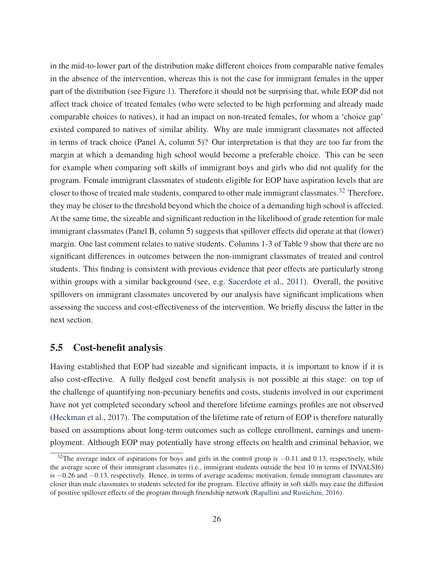in the mid-to-lower part of the distribution make different choices from comparable native females in the absence of the intervention, whereas this is not the case for immigrant females in the upper part of the distribution (see Figure 1). Therefore it should not be surprising that, while EOP did not affect track choice of treated females (who were selected to be high performing and already made comparable choices to natives), it had an impact on non-treated females, for whom a 'choice gap' existed compared to natives of similar ability. Why are male immigrant classmates not affected in terms of track choice (Panel A, column 5)? Our interpretation is that they are too far from the margin at which a demanding high school would become a preferable choice. This can be seen for example when comparing soft skills of immigrant boys and girls who did not qualify for the program. Female immigrant classmates of students eligible for EOP have aspiration levels that are closer to those of treated male students, compared to other male immigrant classmates.<sup>32</sup> Therefore, they may be closer to the threshold beyond which the choice of a demanding high school is affected. At the same time, the sizeable and significant reduction in the likelihood of grade retention for male immigrant classmates (Panel B, column 5) suggests that spillover effects did operate at that (lower) margin. One last comment relates to native students. Columns 1-3 of Table 9 show that there are no significant differences in outcomes between the non-immigrant classmates of treated and control students. This finding is consistent with previous evidence that peer effects are particularly strong within groups with a similar background (see, e.g. Sacerdote et al., 2011). Overall, the positive spillovers on immigrant classmates uncovered by our analysis have significant implications when assessing the success and cost-effectiveness of the intervention. We briefly discuss the latter in the next section.

#### 5.5 Cost-benefit analysis

Having established that EOP had sizeable and significant impacts, it is important to know if it is also cost-effective. A fully fledged cost benefit analysis is not possible at this stage: on top of the challenge of quantifying non-pecuniary benefits and costs, students involved in our experiment have not yet completed secondary school and therefore lifetime earnings profiles are not observed (Heckman et al., 2017). The computation of the lifetime rate of return of EOP is therefore naturally based on assumptions about long-term outcomes such as college enrollment, earnings and unemployment. Although EOP may potentially have strong effects on health and criminal behavior, we

<sup>&</sup>lt;sup>32</sup>The average index of aspirations for boys and girls in the control group is −0.11 and 0.13, respectively, while the average score of their immigrant classmates (i.e., immigrant students outside the best 10 in terms of INVALSI6) is −0.26 and −0.13, respectively. Hence, in terms of average academic motivation, female immigrant classmates are closer than male classmates to students selected for the program. Elective affinity in soft skills may ease the diffusion of positive spillover effects of the program through friendship network (Rapallini and Rustichini, 2016).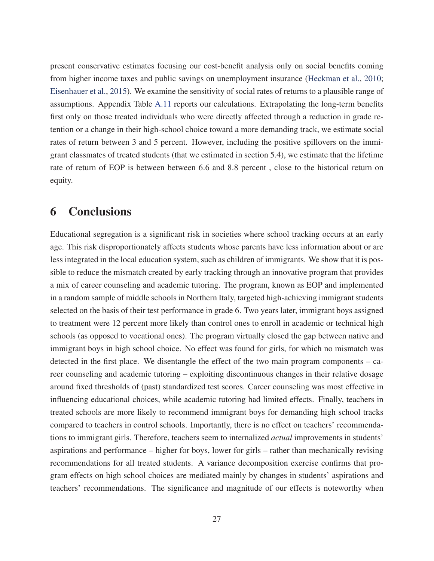present conservative estimates focusing our cost-benefit analysis only on social benefits coming from higher income taxes and public savings on unemployment insurance (Heckman et al., 2010; Eisenhauer et al., 2015). We examine the sensitivity of social rates of returns to a plausible range of assumptions. Appendix Table A.11 reports our calculations. Extrapolating the long-term benefits first only on those treated individuals who were directly affected through a reduction in grade retention or a change in their high-school choice toward a more demanding track, we estimate social rates of return between 3 and 5 percent. However, including the positive spillovers on the immigrant classmates of treated students (that we estimated in section 5.4), we estimate that the lifetime rate of return of EOP is between between 6.6 and 8.8 percent , close to the historical return on equity.

## 6 Conclusions

Educational segregation is a significant risk in societies where school tracking occurs at an early age. This risk disproportionately affects students whose parents have less information about or are less integrated in the local education system, such as children of immigrants. We show that it is possible to reduce the mismatch created by early tracking through an innovative program that provides a mix of career counseling and academic tutoring. The program, known as EOP and implemented in a random sample of middle schools in Northern Italy, targeted high-achieving immigrant students selected on the basis of their test performance in grade 6. Two years later, immigrant boys assigned to treatment were 12 percent more likely than control ones to enroll in academic or technical high schools (as opposed to vocational ones). The program virtually closed the gap between native and immigrant boys in high school choice. No effect was found for girls, for which no mismatch was detected in the first place. We disentangle the effect of the two main program components – career counseling and academic tutoring – exploiting discontinuous changes in their relative dosage around fixed thresholds of (past) standardized test scores. Career counseling was most effective in influencing educational choices, while academic tutoring had limited effects. Finally, teachers in treated schools are more likely to recommend immigrant boys for demanding high school tracks compared to teachers in control schools. Importantly, there is no effect on teachers' recommendations to immigrant girls. Therefore, teachers seem to internalized *actual* improvements in students' aspirations and performance – higher for boys, lower for girls – rather than mechanically revising recommendations for all treated students. A variance decomposition exercise confirms that program effects on high school choices are mediated mainly by changes in students' aspirations and teachers' recommendations. The significance and magnitude of our effects is noteworthy when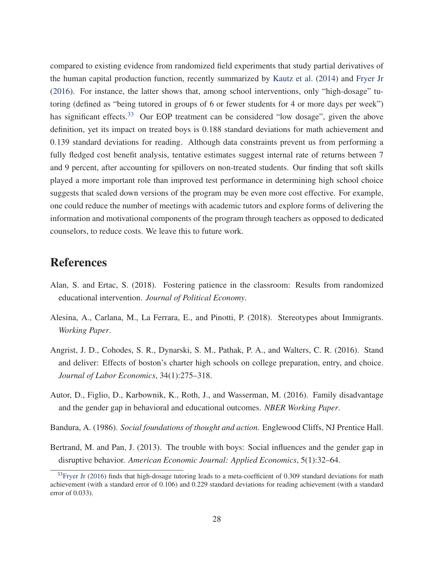compared to existing evidence from randomized field experiments that study partial derivatives of the human capital production function, recently summarized by Kautz et al. (2014) and Fryer Jr (2016). For instance, the latter shows that, among school interventions, only "high-dosage" tutoring (defined as "being tutored in groups of 6 or fewer students for 4 or more days per week") has significant effects.<sup>33</sup> Our EOP treatment can be considered "low dosage", given the above definition, yet its impact on treated boys is 0.188 standard deviations for math achievement and 0.139 standard deviations for reading. Although data constraints prevent us from performing a fully fledged cost benefit analysis, tentative estimates suggest internal rate of returns between 7 and 9 percent, after accounting for spillovers on non-treated students. Our finding that soft skills played a more important role than improved test performance in determining high school choice suggests that scaled down versions of the program may be even more cost effective. For example, one could reduce the number of meetings with academic tutors and explore forms of delivering the information and motivational components of the program through teachers as opposed to dedicated counselors, to reduce costs. We leave this to future work.

## References

- Alan, S. and Ertac, S. (2018). Fostering patience in the classroom: Results from randomized educational intervention. *Journal of Political Economy*.
- Alesina, A., Carlana, M., La Ferrara, E., and Pinotti, P. (2018). Stereotypes about Immigrants. *Working Paper*.
- Angrist, J. D., Cohodes, S. R., Dynarski, S. M., Pathak, P. A., and Walters, C. R. (2016). Stand and deliver: Effects of boston's charter high schools on college preparation, entry, and choice. *Journal of Labor Economics*, 34(1):275–318.
- Autor, D., Figlio, D., Karbownik, K., Roth, J., and Wasserman, M. (2016). Family disadvantage and the gender gap in behavioral and educational outcomes. *NBER Working Paper*.
- Bandura, A. (1986). *Social foundations of thought and action*. Englewood Cliffs, NJ Prentice Hall.
- Bertrand, M. and Pan, J. (2013). The trouble with boys: Social influences and the gender gap in disruptive behavior. *American Economic Journal: Applied Economics*, 5(1):32–64.

 $33$ Fryer Jr (2016) finds that high-dosage tutoring leads to a meta-coefficient of 0.309 standard deviations for math achievement (with a standard error of 0.106) and 0.229 standard deviations for reading achievement (with a standard error of 0.033).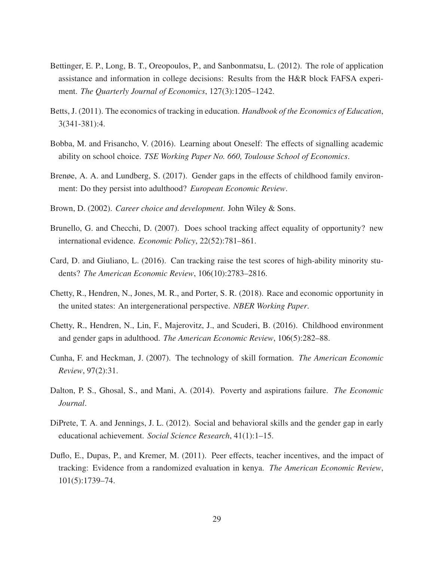- Bettinger, E. P., Long, B. T., Oreopoulos, P., and Sanbonmatsu, L. (2012). The role of application assistance and information in college decisions: Results from the H&R block FAFSA experiment. *The Quarterly Journal of Economics*, 127(3):1205–1242.
- Betts, J. (2011). The economics of tracking in education. *Handbook of the Economics of Education*, 3(341-381):4.
- Bobba, M. and Frisancho, V. (2016). Learning about Oneself: The effects of signalling academic ability on school choice. *TSE Working Paper No. 660, Toulouse School of Economics*.
- Brenøe, A. A. and Lundberg, S. (2017). Gender gaps in the effects of childhood family environment: Do they persist into adulthood? *European Economic Review*.
- Brown, D. (2002). *Career choice and development*. John Wiley & Sons.
- Brunello, G. and Checchi, D. (2007). Does school tracking affect equality of opportunity? new international evidence. *Economic Policy*, 22(52):781–861.
- Card, D. and Giuliano, L. (2016). Can tracking raise the test scores of high-ability minority students? *The American Economic Review*, 106(10):2783–2816.
- Chetty, R., Hendren, N., Jones, M. R., and Porter, S. R. (2018). Race and economic opportunity in the united states: An intergenerational perspective. *NBER Working Paper*.
- Chetty, R., Hendren, N., Lin, F., Majerovitz, J., and Scuderi, B. (2016). Childhood environment and gender gaps in adulthood. *The American Economic Review*, 106(5):282–88.
- Cunha, F. and Heckman, J. (2007). The technology of skill formation. *The American Economic Review*, 97(2):31.
- Dalton, P. S., Ghosal, S., and Mani, A. (2014). Poverty and aspirations failure. *The Economic Journal*.
- DiPrete, T. A. and Jennings, J. L. (2012). Social and behavioral skills and the gender gap in early educational achievement. *Social Science Research*, 41(1):1–15.
- Duflo, E., Dupas, P., and Kremer, M. (2011). Peer effects, teacher incentives, and the impact of tracking: Evidence from a randomized evaluation in kenya. *The American Economic Review*, 101(5):1739–74.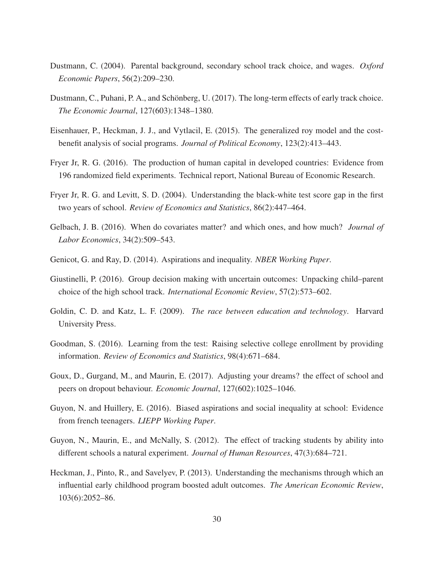- Dustmann, C. (2004). Parental background, secondary school track choice, and wages. *Oxford Economic Papers*, 56(2):209–230.
- Dustmann, C., Puhani, P. A., and Schönberg, U. (2017). The long-term effects of early track choice. *The Economic Journal*, 127(603):1348–1380.
- Eisenhauer, P., Heckman, J. J., and Vytlacil, E. (2015). The generalized roy model and the costbenefit analysis of social programs. *Journal of Political Economy*, 123(2):413–443.
- Fryer Jr, R. G. (2016). The production of human capital in developed countries: Evidence from 196 randomized field experiments. Technical report, National Bureau of Economic Research.
- Fryer Jr, R. G. and Levitt, S. D. (2004). Understanding the black-white test score gap in the first two years of school. *Review of Economics and Statistics*, 86(2):447–464.
- Gelbach, J. B. (2016). When do covariates matter? and which ones, and how much? *Journal of Labor Economics*, 34(2):509–543.
- Genicot, G. and Ray, D. (2014). Aspirations and inequality. *NBER Working Paper*.
- Giustinelli, P. (2016). Group decision making with uncertain outcomes: Unpacking child–parent choice of the high school track. *International Economic Review*, 57(2):573–602.
- Goldin, C. D. and Katz, L. F. (2009). *The race between education and technology*. Harvard University Press.
- Goodman, S. (2016). Learning from the test: Raising selective college enrollment by providing information. *Review of Economics and Statistics*, 98(4):671–684.
- Goux, D., Gurgand, M., and Maurin, E. (2017). Adjusting your dreams? the effect of school and peers on dropout behaviour. *Economic Journal*, 127(602):1025–1046.
- Guyon, N. and Huillery, E. (2016). Biased aspirations and social inequality at school: Evidence from french teenagers. *LIEPP Working Paper*.
- Guyon, N., Maurin, E., and McNally, S. (2012). The effect of tracking students by ability into different schools a natural experiment. *Journal of Human Resources*, 47(3):684–721.
- Heckman, J., Pinto, R., and Savelyev, P. (2013). Understanding the mechanisms through which an influential early childhood program boosted adult outcomes. *The American Economic Review*, 103(6):2052–86.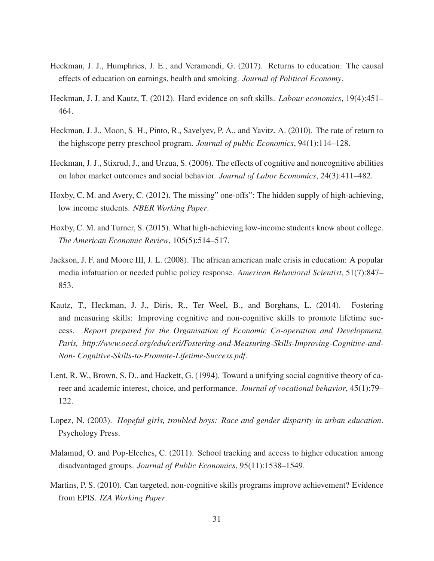- Heckman, J. J., Humphries, J. E., and Veramendi, G. (2017). Returns to education: The causal effects of education on earnings, health and smoking. *Journal of Political Economy*.
- Heckman, J. J. and Kautz, T. (2012). Hard evidence on soft skills. *Labour economics*, 19(4):451– 464.
- Heckman, J. J., Moon, S. H., Pinto, R., Savelyev, P. A., and Yavitz, A. (2010). The rate of return to the highscope perry preschool program. *Journal of public Economics*, 94(1):114–128.
- Heckman, J. J., Stixrud, J., and Urzua, S. (2006). The effects of cognitive and noncognitive abilities on labor market outcomes and social behavior. *Journal of Labor Economics*, 24(3):411–482.
- Hoxby, C. M. and Avery, C. (2012). The missing" one-offs": The hidden supply of high-achieving, low income students. *NBER Working Paper*.
- Hoxby, C. M. and Turner, S. (2015). What high-achieving low-income students know about college. *The American Economic Review*, 105(5):514–517.
- Jackson, J. F. and Moore III, J. L. (2008). The african american male crisis in education: A popular media infatuation or needed public policy response. *American Behavioral Scientist*, 51(7):847– 853.
- Kautz, T., Heckman, J. J., Diris, R., Ter Weel, B., and Borghans, L. (2014). Fostering and measuring skills: Improving cognitive and non-cognitive skills to promote lifetime success. *Report prepared for the Organisation of Economic Co-operation and Development, Paris, http://www.oecd.org/edu/ceri/Fostering-and-Measuring-Skills-Improving-Cognitive-and-Non- Cognitive-Skills-to-Promote-Lifetime-Success.pdf*.
- Lent, R. W., Brown, S. D., and Hackett, G. (1994). Toward a unifying social cognitive theory of career and academic interest, choice, and performance. *Journal of vocational behavior*, 45(1):79– 122.
- Lopez, N. (2003). *Hopeful girls, troubled boys: Race and gender disparity in urban education*. Psychology Press.
- Malamud, O. and Pop-Eleches, C. (2011). School tracking and access to higher education among disadvantaged groups. *Journal of Public Economics*, 95(11):1538–1549.
- Martins, P. S. (2010). Can targeted, non-cognitive skills programs improve achievement? Evidence from EPIS. *IZA Working Paper*.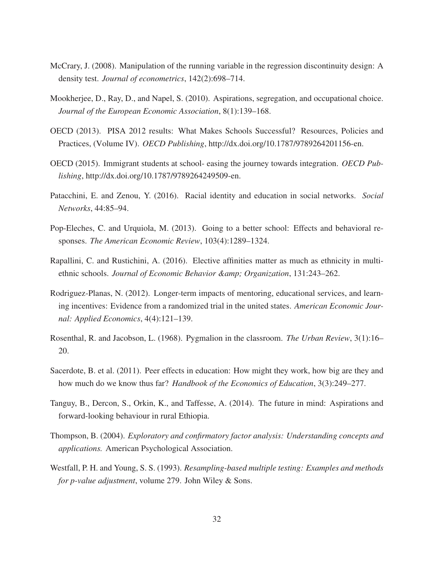- McCrary, J. (2008). Manipulation of the running variable in the regression discontinuity design: A density test. *Journal of econometrics*, 142(2):698–714.
- Mookherjee, D., Ray, D., and Napel, S. (2010). Aspirations, segregation, and occupational choice. *Journal of the European Economic Association*, 8(1):139–168.
- OECD (2013). PISA 2012 results: What Makes Schools Successful? Resources, Policies and Practices, (Volume IV). *OECD Publishing*, http://dx.doi.org/10.1787/9789264201156-en.
- OECD (2015). Immigrant students at school- easing the journey towards integration. *OECD Publishing*, http://dx.doi.org/10.1787/9789264249509-en.
- Patacchini, E. and Zenou, Y. (2016). Racial identity and education in social networks. *Social Networks*, 44:85–94.
- Pop-Eleches, C. and Urquiola, M. (2013). Going to a better school: Effects and behavioral responses. *The American Economic Review*, 103(4):1289–1324.
- Rapallini, C. and Rustichini, A. (2016). Elective affinities matter as much as ethnicity in multiethnic schools. *Journal of Economic Behavior & Organization*, 131:243–262.
- Rodriguez-Planas, N. (2012). Longer-term impacts of mentoring, educational services, and learning incentives: Evidence from a randomized trial in the united states. *American Economic Journal: Applied Economics*, 4(4):121–139.
- Rosenthal, R. and Jacobson, L. (1968). Pygmalion in the classroom. *The Urban Review*, 3(1):16– 20.
- Sacerdote, B. et al. (2011). Peer effects in education: How might they work, how big are they and how much do we know thus far? *Handbook of the Economics of Education*, 3(3):249–277.
- Tanguy, B., Dercon, S., Orkin, K., and Taffesse, A. (2014). The future in mind: Aspirations and forward-looking behaviour in rural Ethiopia.
- Thompson, B. (2004). *Exploratory and confirmatory factor analysis: Understanding concepts and applications.* American Psychological Association.
- Westfall, P. H. and Young, S. S. (1993). *Resampling-based multiple testing: Examples and methods for p-value adjustment*, volume 279. John Wiley & Sons.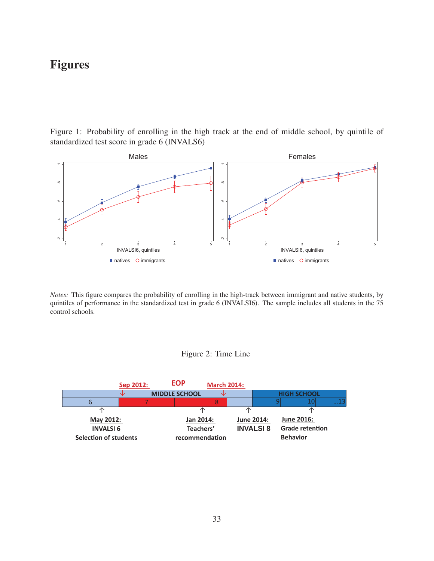## Figures

Figure 1: Probability of enrolling in the high track at the end of middle school, by quintile of standardized test score in grade 6 (INVALS6)



*Notes:* This figure compares the probability of enrolling in the high-track between immigrant and native students, by quintiles of performance in the standardized test in grade 6 (INVALSI6). The sample includes all students in the 75 control schools.

#### Figure 2: Time Line

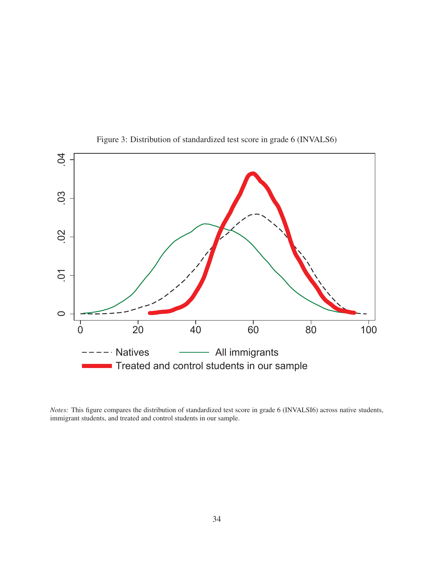

Figure 3: Distribution of standardized test score in grade 6 (INVALS6)

*Notes:* This figure compares the distribution of standardized test score in grade 6 (INVALSI6) across native students, immigrant students, and treated and control students in our sample.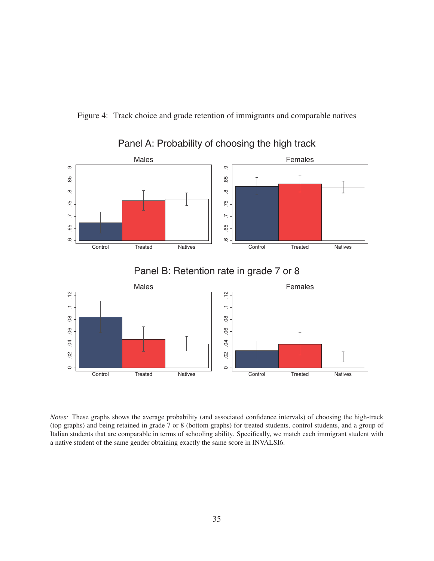



### Panel A: Probability of choosing the high track

Panel B: Retention rate in grade 7 or 8



*Notes:* These graphs shows the average probability (and associated confidence intervals) of choosing the high-track (top graphs) and being retained in grade 7 or 8 (bottom graphs) for treated students, control students, and a group of Italian students that are comparable in terms of schooling ability. Specifically, we match each immigrant student with a native student of the same gender obtaining exactly the same score in INVALSI6.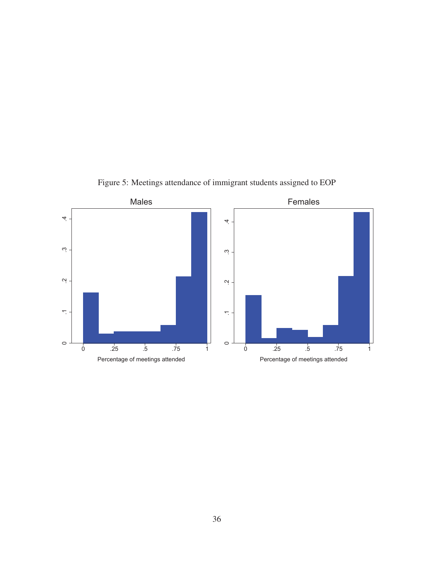

Figure 5: Meetings attendance of immigrant students assigned to EOP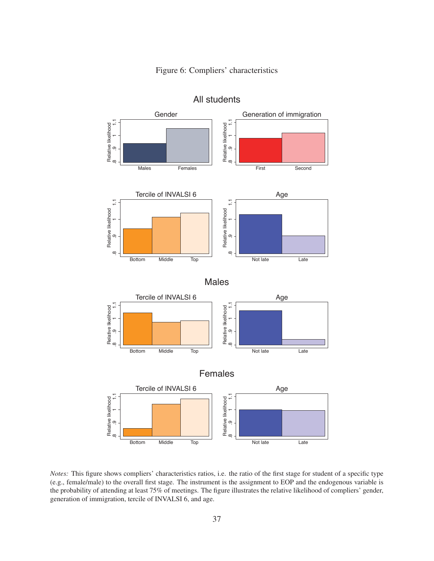



All students

*Notes:* This figure shows compliers' characteristics ratios, i.e. the ratio of the first stage for student of a specific type (e.g., female/male) to the overall first stage. The instrument is the assignment to EOP and the endogenous variable is the probability of attending at least 75% of meetings. The figure illustrates the relative likelihood of compliers' gender, generation of immigration, tercile of INVALSI 6, and age.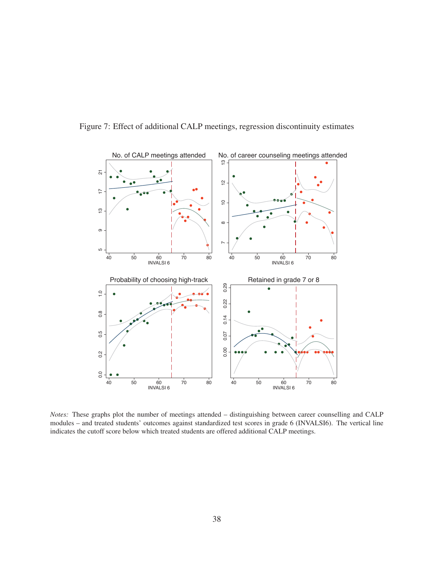

Figure 7: Effect of additional CALP meetings, regression discontinuity estimates

*Notes:* These graphs plot the number of meetings attended – distinguishing between career counselling and CALP modules – and treated students' outcomes against standardized test scores in grade 6 (INVALSI6). The vertical line indicates the cutoff score below which treated students are offered additional CALP meetings.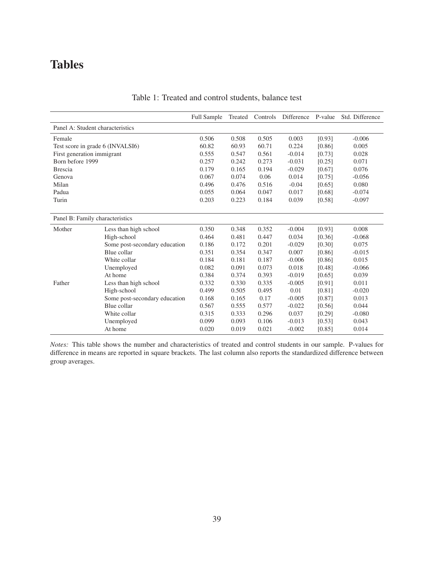# Tables

|                                  |                               | <b>Full Sample</b> | Treated | Controls | Difference | P-value | Std. Difference |
|----------------------------------|-------------------------------|--------------------|---------|----------|------------|---------|-----------------|
| Panel A: Student characteristics |                               |                    |         |          |            |         |                 |
| Female                           |                               | 0.506              | 0.508   | 0.505    | 0.003      | [0.93]  | $-0.006$        |
| Test score in grade 6 (INVALSI6) |                               | 60.82              | 60.93   | 60.71    | 0.224      | [0.86]  | 0.005           |
| First generation immigrant       |                               | 0.555              | 0.547   | 0.561    | $-0.014$   | [0.73]  | 0.028           |
| Born before 1999                 |                               | 0.257              | 0.242   | 0.273    | $-0.031$   | [0.25]  | 0.071           |
| <b>Brescia</b>                   |                               | 0.179              | 0.165   | 0.194    | $-0.029$   | [0.67]  | 0.076           |
| Genova                           |                               | 0.067              | 0.074   | 0.06     | 0.014      | [0.75]  | $-0.056$        |
| Milan                            |                               | 0.496              | 0.476   | 0.516    | $-0.04$    | [0.65]  | 0.080           |
| Padua                            |                               | 0.055              | 0.064   | 0.047    | 0.017      | [0.68]  | $-0.074$        |
| Turin                            |                               | 0.203              | 0.223   | 0.184    | 0.039      | [0.58]  | $-0.097$        |
|                                  |                               |                    |         |          |            |         |                 |
| Panel B: Family characteristics  |                               |                    |         |          |            |         |                 |
| Mother                           | Less than high school         | 0.350              | 0.348   | 0.352    | $-0.004$   | [0.93]  | 0.008           |
|                                  | High-school                   | 0.464              | 0.481   | 0.447    | 0.034      | [0.36]  | $-0.068$        |
|                                  | Some post-secondary education | 0.186              | 0.172   | 0.201    | $-0.029$   | [0.30]  | 0.075           |
|                                  | Blue collar                   | 0.351              | 0.354   | 0.347    | 0.007      | [0.86]  | $-0.015$        |
|                                  | White collar                  | 0.184              | 0.181   | 0.187    | $-0.006$   | [0.86]  | 0.015           |
|                                  | Unemployed                    | 0.082              | 0.091   | 0.073    | 0.018      | [0.48]  | $-0.066$        |
|                                  | At home                       | 0.384              | 0.374   | 0.393    | $-0.019$   | [0.65]  | 0.039           |
| Father                           | Less than high school         | 0.332              | 0.330   | 0.335    | $-0.005$   | [0.91]  | 0.011           |
|                                  | High-school                   | 0.499              | 0.505   | 0.495    | 0.01       | [0.81]  | $-0.020$        |
|                                  | Some post-secondary education | 0.168              | 0.165   | 0.17     | $-0.005$   | [0.87]  | 0.013           |
|                                  | Blue collar                   | 0.567              | 0.555   | 0.577    | $-0.022$   | [0.56]  | 0.044           |
|                                  | White collar                  | 0.315              | 0.333   | 0.296    | 0.037      | [0.29]  | $-0.080$        |
|                                  | Unemployed                    | 0.099              | 0.093   | 0.106    | $-0.013$   | [0.53]  | 0.043           |
|                                  | At home                       | 0.020              | 0.019   | 0.021    | $-0.002$   | [0.85]  | 0.014           |

#### Table 1: Treated and control students, balance test

*Notes:* This table shows the number and characteristics of treated and control students in our sample. P-values for difference in means are reported in square brackets. The last column also reports the standardized difference between group averages.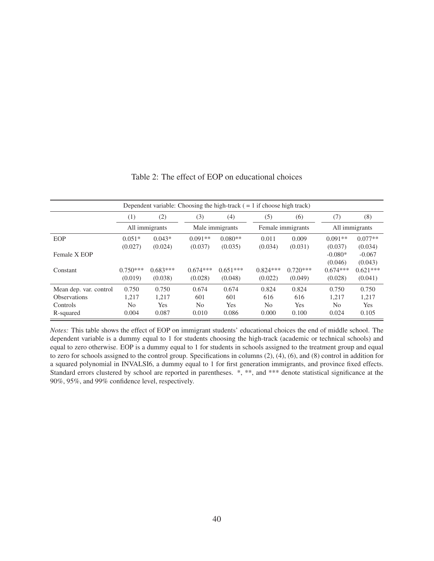|                        | Dependent variable: Choosing the high-track $( = 1$ if choose high track) |            |            |                 |                |                   |            |                |  |  |  |  |
|------------------------|---------------------------------------------------------------------------|------------|------------|-----------------|----------------|-------------------|------------|----------------|--|--|--|--|
|                        | (1)                                                                       | (2)        | (3)        | (4)             | (5)            | (6)               | (7)        | (8)            |  |  |  |  |
|                        | All immigrants                                                            |            |            | Male immigrants |                | Female immigrants |            | All immigrants |  |  |  |  |
| <b>EOP</b>             | $0.051*$                                                                  | $0.043*$   | $0.091**$  | $0.080**$       | 0.011          | 0.009             | $0.091**$  | $0.077**$      |  |  |  |  |
|                        | (0.027)                                                                   | (0.024)    | (0.037)    | (0.035)         | (0.034)        | (0.031)           | (0.037)    | (0.034)        |  |  |  |  |
| Female X EOP           |                                                                           |            |            |                 |                |                   | $-0.080*$  | $-0.067$       |  |  |  |  |
|                        |                                                                           |            |            |                 |                |                   | (0.046)    | (0.043)        |  |  |  |  |
| Constant               | $0.750***$                                                                | $0.683***$ | $0.674***$ | $0.651***$      | $0.824***$     | $0.720***$        | $0.674***$ | $0.621***$     |  |  |  |  |
|                        | (0.019)                                                                   | (0.038)    | (0.028)    | (0.048)         | (0.022)        | (0.049)           | (0.028)    | (0.041)        |  |  |  |  |
| Mean dep. var. control | 0.750                                                                     | 0.750      | 0.674      | 0.674           | 0.824          | 0.824             | 0.750      | 0.750          |  |  |  |  |
| <b>Observations</b>    | 1,217                                                                     | 1,217      | 601        | 601             | 616            | 616               | 1,217      | 1,217          |  |  |  |  |
| Controls               | No.                                                                       | <b>Yes</b> | No         | Yes             | N <sub>0</sub> | Yes               | No         | <b>Yes</b>     |  |  |  |  |
| R-squared              | 0.004                                                                     | 0.087      | 0.010      | 0.086           | 0.000          | 0.100             | 0.024      | 0.105          |  |  |  |  |

#### Table 2: The effect of EOP on educational choices

*Notes:* This table shows the effect of EOP on immigrant students' educational choices the end of middle school. The dependent variable is a dummy equal to 1 for students choosing the high-track (academic or technical schools) and equal to zero otherwise. EOP is a dummy equal to 1 for students in schools assigned to the treatment group and equal to zero for schools assigned to the control group. Specifications in columns (2), (4), (6), and (8) control in addition for a squared polynomial in INVALSI6, a dummy equal to 1 for first generation immigrants, and province fixed effects. Standard errors clustered by school are reported in parentheses. \*, \*\*, and \*\*\* denote statistical significance at the 90%, 95%, and 99% confidence level, respectively.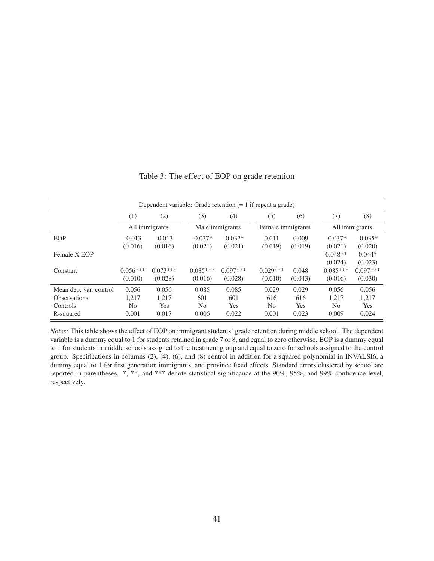| Dependent variable: Grade retention $(= 1$ if repeat a grade)          |                               |                                       |                                         |                                     |                                         |                                     |                                           |                                       |  |  |  |
|------------------------------------------------------------------------|-------------------------------|---------------------------------------|-----------------------------------------|-------------------------------------|-----------------------------------------|-------------------------------------|-------------------------------------------|---------------------------------------|--|--|--|
|                                                                        | $\left(1\right)$              | (2)                                   | (3)                                     | (4)                                 | (5)                                     | (6)                                 | (7)                                       | (8)                                   |  |  |  |
|                                                                        | All immigrants                |                                       |                                         | Male immigrants                     |                                         | Female immigrants                   |                                           | All immigrants                        |  |  |  |
| EOP                                                                    | $-0.013$<br>(0.016)           | $-0.013$<br>(0.016)                   | $-0.037*$<br>(0.021)                    | $-0.037*$<br>(0.021)                | 0.011<br>(0.019)                        | 0.009<br>(0.019)                    | $-0.037*$<br>(0.021)                      | $-0.035*$<br>(0.020)                  |  |  |  |
| Female X EOP                                                           |                               |                                       |                                         |                                     |                                         |                                     | $0.048**$<br>(0.024)                      | $0.044*$<br>(0.023)                   |  |  |  |
| Constant                                                               | $0.056***$<br>(0.010)         | $0.073***$<br>(0.028)                 | $0.085***$<br>(0.016)                   | $0.097***$<br>(0.028)               | $0.029***$<br>(0.010)                   | 0.048<br>(0.043)                    | $0.085***$<br>(0.016)                     | $0.097***$<br>(0.030)                 |  |  |  |
| Mean dep. var. control<br><b>Observations</b><br>Controls<br>R-squared | 0.056<br>1,217<br>No<br>0.001 | 0.056<br>1,217<br><b>Yes</b><br>0.017 | 0.085<br>601<br>N <sub>0</sub><br>0.006 | 0.085<br>601<br><b>Yes</b><br>0.022 | 0.029<br>616<br>N <sub>0</sub><br>0.001 | 0.029<br>616<br><b>Yes</b><br>0.023 | 0.056<br>1,217<br>N <sub>0</sub><br>0.009 | 0.056<br>1,217<br><b>Yes</b><br>0.024 |  |  |  |

#### Table 3: The effect of EOP on grade retention

*Notes:* This table shows the effect of EOP on immigrant students' grade retention during middle school. The dependent variable is a dummy equal to 1 for students retained in grade 7 or 8, and equal to zero otherwise. EOP is a dummy equal to 1 for students in middle schools assigned to the treatment group and equal to zero for schools assigned to the control group. Specifications in columns (2), (4), (6), and (8) control in addition for a squared polynomial in INVALSI6, a dummy equal to 1 for first generation immigrants, and province fixed effects. Standard errors clustered by school are reported in parentheses. \*, \*\*, and \*\*\* denote statistical significance at the 90%, 95%, and 99% confidence level, respectively.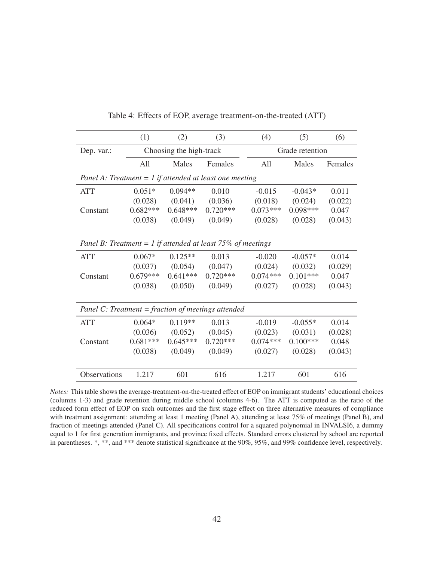|                                                               | (1)        | (2)                     | (3)        | (4)        | (5)             | (6)     |  |  |  |
|---------------------------------------------------------------|------------|-------------------------|------------|------------|-----------------|---------|--|--|--|
| Dep. var.:                                                    |            | Choosing the high-track |            |            | Grade retention |         |  |  |  |
|                                                               | All        | Males                   | Females    | All        | Males           | Females |  |  |  |
| Panel A: Treatment = $1$ if attended at least one meeting     |            |                         |            |            |                 |         |  |  |  |
| <b>ATT</b>                                                    | $0.051*$   | $0.094**$               | 0.010      | $-0.015$   | $-0.043*$       | 0.011   |  |  |  |
|                                                               | (0.028)    | (0.041)                 | (0.036)    | (0.018)    | (0.024)         | (0.022) |  |  |  |
| Constant                                                      | $0.682***$ | $0.648***$              | $0.720***$ | $0.073***$ | $0.098***$      | 0.047   |  |  |  |
|                                                               | (0.038)    | (0.049)                 | (0.049)    | (0.028)    | (0.028)         | (0.043) |  |  |  |
|                                                               |            |                         |            |            |                 |         |  |  |  |
| Panel B: Treatment = $1$ if attended at least 75% of meetings |            |                         |            |            |                 |         |  |  |  |
| <b>ATT</b>                                                    | $0.067*$   | $0.125**$               | 0.013      | $-0.020$   | $-0.057*$       | 0.014   |  |  |  |
|                                                               | (0.037)    | (0.054)                 | (0.047)    | (0.024)    | (0.032)         | (0.029) |  |  |  |
| Constant                                                      | $0.679***$ | $0.641***$              | $0.720***$ | $0.074***$ | $0.101***$      | 0.047   |  |  |  |
|                                                               | (0.038)    | (0.050)                 | (0.049)    | (0.027)    | (0.028)         | (0.043) |  |  |  |
|                                                               |            |                         |            |            |                 |         |  |  |  |
| Panel C: Treatment = fraction of meetings attended            |            |                         |            |            |                 |         |  |  |  |
| <b>ATT</b>                                                    | $0.064*$   | $0.119**$               | 0.013      | $-0.019$   | $-0.055*$       | 0.014   |  |  |  |
|                                                               | (0.036)    | (0.052)                 | (0.045)    | (0.023)    | (0.031)         | (0.028) |  |  |  |
| Constant                                                      | $0.681***$ | $0.645***$              | $0.720***$ | $0.074***$ | $0.100***$      | 0.048   |  |  |  |
|                                                               | (0.038)    | (0.049)                 | (0.049)    | (0.027)    | (0.028)         | (0.043) |  |  |  |
|                                                               |            |                         |            |            |                 |         |  |  |  |
| Observations                                                  | 1.217      | 601                     | 616        | 1.217      | 601             | 616     |  |  |  |

Table 4: Effects of EOP, average treatment-on-the-treated (ATT)

*Notes:* This table shows the average-treatment-on-the-treated effect of EOP on immigrant students' educational choices (columns 1-3) and grade retention during middle school (columns 4-6). The ATT is computed as the ratio of the reduced form effect of EOP on such outcomes and the first stage effect on three alternative measures of compliance with treatment assignment: attending at least 1 meeting (Panel A), attending at least 75% of meetings (Panel B), and fraction of meetings attended (Panel C). All specifications control for a squared polynomial in INVALSI6, a dummy equal to 1 for first generation immigrants, and province fixed effects. Standard errors clustered by school are reported in parentheses. \*, \*\*, and \*\*\* denote statistical significance at the 90%, 95%, and 99% confidence level, respectively.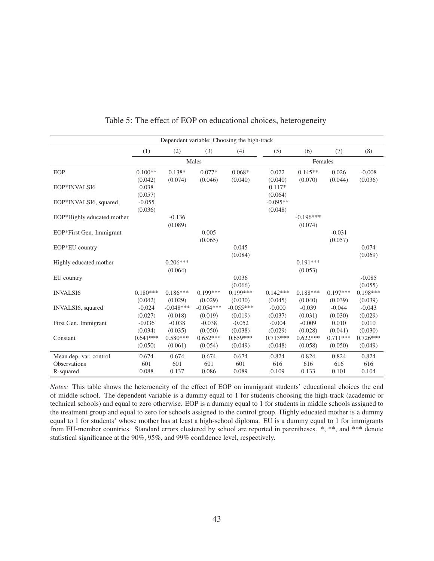|                            |            |             |             | Dependent variable: Choosing the high-track |            |             |            |            |
|----------------------------|------------|-------------|-------------|---------------------------------------------|------------|-------------|------------|------------|
|                            | (1)        | (2)         | (3)         | (4)                                         | (5)        | (6)         | (7)        | (8)        |
|                            |            |             | Males       |                                             |            | Females     |            |            |
| EOP                        | $0.100**$  | $0.138*$    | $0.077*$    | $0.068*$                                    | 0.022      | $0.145**$   | 0.026      | $-0.008$   |
|                            | (0.042)    | (0.074)     | (0.046)     | (0.040)                                     | (0.040)    | (0.070)     | (0.044)    | (0.036)    |
| EOP*INVALSI6               | 0.038      |             |             |                                             | $0.117*$   |             |            |            |
|                            | (0.057)    |             |             |                                             | (0.064)    |             |            |            |
| EOP*INVALSI6, squared      | $-0.055$   |             |             |                                             | $-0.095**$ |             |            |            |
|                            | (0.036)    |             |             |                                             | (0.048)    |             |            |            |
| EOP*Highly educated mother |            | $-0.136$    |             |                                             |            | $-0.196***$ |            |            |
|                            |            | (0.089)     |             |                                             |            | (0.074)     |            |            |
| EOP*First Gen. Immigrant   |            |             | 0.005       |                                             |            |             | $-0.031$   |            |
|                            |            |             | (0.065)     |                                             |            |             | (0.057)    |            |
| EOP*EU country             |            |             |             | 0.045                                       |            |             |            | 0.074      |
|                            |            |             |             | (0.084)                                     |            |             |            | (0.069)    |
| Highly educated mother     |            | $0.206***$  |             |                                             |            | $0.191***$  |            |            |
|                            |            | (0.064)     |             |                                             |            | (0.053)     |            |            |
| EU country                 |            |             |             | 0.036                                       |            |             |            | $-0.085$   |
|                            |            |             |             | (0.066)                                     |            |             |            | (0.055)    |
| <b>INVALSI6</b>            | $0.180***$ | $0.186***$  | $0.199***$  | $0.199***$                                  | $0.142***$ | $0.188***$  | $0.197***$ | $0.198***$ |
|                            | (0.042)    | (0.029)     | (0.029)     | (0.030)                                     | (0.045)    | (0.040)     | (0.039)    | (0.039)    |
| INVALSI6, squared          | $-0.024$   | $-0.048***$ | $-0.054***$ | $-0.055***$                                 | $-0.000$   | $-0.039$    | $-0.044$   | $-0.043$   |
|                            | (0.027)    | (0.018)     | (0.019)     | (0.019)                                     | (0.037)    | (0.031)     | (0.030)    | (0.029)    |
| First Gen. Immigrant       | $-0.036$   | $-0.038$    | $-0.038$    | $-0.052$                                    | $-0.004$   | $-0.009$    | 0.010      | 0.010      |
|                            | (0.034)    | (0.035)     | (0.050)     | (0.038)                                     | (0.029)    | (0.028)     | (0.041)    | (0.030)    |
| Constant                   | $0.641***$ | $0.580***$  | $0.652***$  | $0.659***$                                  | $0.713***$ | $0.622***$  | $0.711***$ | $0.726***$ |
|                            | (0.050)    | (0.061)     | (0.054)     | (0.049)                                     | (0.048)    | (0.058)     | (0.050)    | (0.049)    |
| Mean dep. var. control     | 0.674      | 0.674       | 0.674       | 0.674                                       | 0.824      | 0.824       | 0.824      | 0.824      |
| <b>Observations</b>        | 601        | 601         | 601         | 601                                         | 616        | 616         | 616        | 616        |
| R-squared                  | 0.088      | 0.137       | 0.086       | 0.089                                       | 0.109      | 0.133       | 0.101      | 0.104      |

#### Table 5: The effect of EOP on educational choices, heterogeneity

*Notes:* This table shows the heteroeneity of the effect of EOP on immigrant students' educational choices the end of middle school. The dependent variable is a dummy equal to 1 for students choosing the high-track (academic or technical schools) and equal to zero otherwise. EOP is a dummy equal to 1 for students in middle schools assigned to the treatment group and equal to zero for schools assigned to the control group. Highly educated mother is a dummy equal to 1 for students' whose mother has at least a high-school diploma. EU is a dummy equal to 1 for immigrants from EU-member countries. Standard errors clustered by school are reported in parentheses. \*, \*\*, and \*\*\* denote statistical significance at the 90%, 95%, and 99% confidence level, respectively.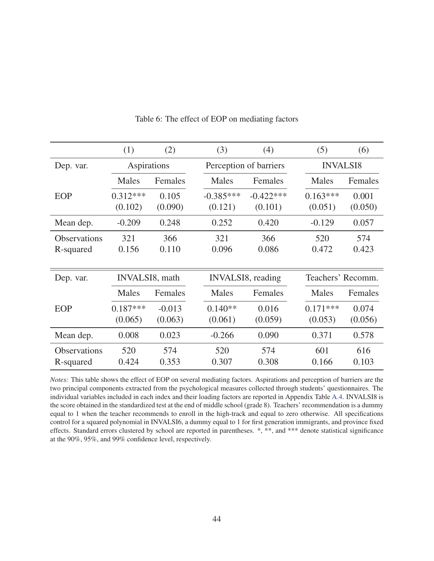|                     | (1)                    | (2)      | (3)          | (4)                    | (5)               | (6)     |  |
|---------------------|------------------------|----------|--------------|------------------------|-------------------|---------|--|
| Dep. var.           | Aspirations            |          |              | Perception of barriers | <b>INVALSI8</b>   |         |  |
|                     | <b>Males</b>           | Females  | <b>Males</b> | Females                | Males             | Females |  |
| EOP                 | $0.312***$             | 0.105    | $-0.385***$  | $-0.422***$            | $0.163***$        | 0.001   |  |
|                     | (0.102)                | (0.090)  | (0.121)      | (0.101)                | (0.051)           | (0.050) |  |
| Mean dep.           | $-0.209$               | 0.248    | 0.252        | 0.420                  | $-0.129$          | 0.057   |  |
| <b>Observations</b> | 321                    | 366      | 321          | 366                    | 520               | 574     |  |
| R-squared           | 0.156                  | 0.110    | 0.096        | 0.086                  | 0.472             | 0.423   |  |
|                     |                        |          |              |                        |                   |         |  |
| Dep. var.           | <b>INVALSI8</b> , math |          |              | INVALSI8, reading      | Teachers' Recomm. |         |  |
|                     | Males                  | Females  | Males        | Females                | Males             | Females |  |
| <b>EOP</b>          | $0.187***$             | $-0.013$ | $0.140**$    | 0.016                  | $0.171***$        | 0.074   |  |
|                     |                        |          |              |                        |                   |         |  |
|                     | (0.065)                | (0.063)  | (0.061)      | (0.059)                | (0.053)           | (0.056) |  |
| Mean dep.           | 0.008                  | 0.023    | $-0.266$     | 0.090                  | 0.371             | 0.578   |  |
| <b>Observations</b> | 520                    | 574      | 520          | 574                    | 601               | 616     |  |

Table 6: The effect of EOP on mediating factors

*Notes:* This table shows the effect of EOP on several mediating factors. Aspirations and perception of barriers are the two principal components extracted from the psychological measures collected through students' questionnaires. The individual variables included in each index and their loading factors are reported in Appendix Table A.4. INVALSI8 is the score obtained in the standardized test at the end of middle school (grade 8). Teachers' recommendation is a dummy equal to 1 when the teacher recommends to enroll in the high-track and equal to zero otherwise. All specifications control for a squared polynomial in INVALSI6, a dummy equal to 1 for first generation immigrants, and province fixed effects. Standard errors clustered by school are reported in parentheses. \*, \*\*, and \*\*\* denote statistical significance at the 90%, 95%, and 99% confidence level, respectively.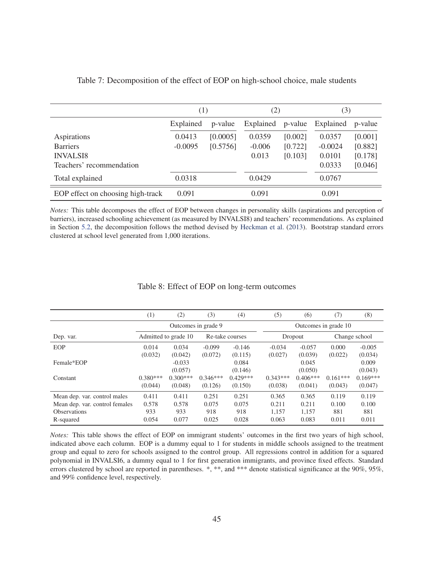|                                   | (1)       |          | (2)       |         | (3)       |         |
|-----------------------------------|-----------|----------|-----------|---------|-----------|---------|
|                                   | Explained | p-value  | Explained | p-value | Explained | p-value |
| Aspirations                       | 0.0413    | [0.0005] | 0.0359    | [0.002] | 0.0357    | [0.001] |
| <b>Barriers</b>                   | $-0.0095$ | [0.5756] | $-0.006$  | [0.722] | $-0.0024$ | [0.882] |
| <b>INVALSI8</b>                   |           |          | 0.013     | [0.103] | 0.0101    | [0.178] |
| Teachers' recommendation          |           |          |           |         | 0.0333    | [0.046] |
| Total explained                   | 0.0318    |          | 0.0429    |         | 0.0767    |         |
| EOP effect on choosing high-track | 0.091     |          | 0.091     |         | 0.091     |         |

Table 7: Decomposition of the effect of EOP on high-school choice, male students

*Notes:* This table decomposes the effect of EOP between changes in personality skills (aspirations and perception of barriers), increased schooling achievement (as measured by INVALSI8) and teachers' recommendations. As explained in Section 5.2, the decomposition follows the method devised by Heckman et al. (2013). Bootstrap standard errors clustered at school level generated from 1,000 iterations.

|                                | (1)                  | (2)        | (3)                 | (4)        | (5)        | (6)                  | (7)           | (8)        |  |
|--------------------------------|----------------------|------------|---------------------|------------|------------|----------------------|---------------|------------|--|
|                                |                      |            | Outcomes in grade 9 |            |            | Outcomes in grade 10 |               |            |  |
| Dep. var.                      | Admitted to grade 10 |            | Re-take courses     |            |            | Dropout              | Change school |            |  |
| EOP                            | 0.014                | 0.034      | $-0.099$            | $-0.146$   | $-0.034$   | $-0.057$             | 0.000         | $-0.005$   |  |
|                                | (0.032)              | (0.042)    | (0.072)             | (0.115)    | (0.027)    | (0.039)              | (0.022)       | (0.034)    |  |
| Female*EOP                     |                      | $-0.033$   |                     | 0.084      |            | 0.045                |               | 0.009      |  |
|                                |                      | (0.057)    |                     | (0.146)    |            | (0.050)              |               | (0.043)    |  |
| Constant                       | $0.380***$           | $0.300***$ | $0.346***$          | $0.429***$ | $0.343***$ | $0.406***$           | $0.161***$    | $0.169***$ |  |
|                                | (0.044)              | (0.048)    | (0.126)             | (0.150)    | (0.038)    | (0.041)              | (0.043)       | (0.047)    |  |
| Mean dep. var. control males   | 0.411                | 0.411      | 0.251               | 0.251      | 0.365      | 0.365                | 0.119         | 0.119      |  |
| Mean dep. var. control females | 0.578                | 0.578      | 0.075               | 0.075      | 0.211      | 0.211                | 0.100         | 0.100      |  |
| <b>Observations</b>            | 933                  | 933        | 918                 | 918        | 1,157      | 1,157                | 881           | 881        |  |
| R-squared                      | 0.054                | 0.077      | 0.025               | 0.028      | 0.063      | 0.083                | 0.011         | 0.011      |  |

#### Table 8: Effect of EOP on long-term outcomes

*Notes:* This table shows the effect of EOP on immigrant students' outcomes in the first two years of high school, indicated above each column. EOP is a dummy equal to 1 for students in middle schools assigned to the treatment group and equal to zero for schools assigned to the control group. All regressions control in addition for a squared polynomial in INVALSI6, a dummy equal to 1 for first generation immigrants, and province fixed effects. Standard errors clustered by school are reported in parentheses. \*, \*\*, and \*\*\* denote statistical significance at the 90%, 95%, and 99% confidence level, respectively.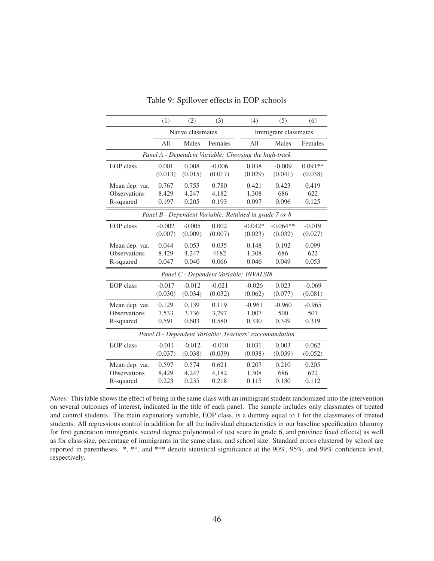|                                                        | (1)      | (2)               | (3)      | (4)                                                    | (5)                  | (6)       |  |  |  |
|--------------------------------------------------------|----------|-------------------|----------|--------------------------------------------------------|----------------------|-----------|--|--|--|
|                                                        |          | Native classmates |          |                                                        | Immigrant classmates |           |  |  |  |
|                                                        | All      | Males             | Females  | All                                                    | Males                | Females   |  |  |  |
|                                                        |          |                   |          | Panel A - Dependent Variable: Choosing the high-track  |                      |           |  |  |  |
| <b>EOP</b> class                                       | 0.001    | 0.008             | $-0.006$ | 0.038                                                  | $-0.009$             | $0.091**$ |  |  |  |
|                                                        | (0.013)  | (0.015)           | (0.017)  | (0.029)                                                | (0.041)              | (0.038)   |  |  |  |
| Mean dep. var.                                         | 0.767    | 0.755             | 0.780    | 0.421                                                  | 0.423                | 0.419     |  |  |  |
| <b>Observations</b>                                    | 8,429    | 4,247             | 4,182    | 1,308                                                  | 686                  | 622       |  |  |  |
| R-squared                                              | 0.197    | 0.205             | 0.193    | 0.097                                                  | 0.096                | 0.125     |  |  |  |
| Panel B - Dependent Variable: Retained in grade 7 or 8 |          |                   |          |                                                        |                      |           |  |  |  |
| <b>EOP</b> class                                       | $-0.002$ | $-0.005$          | 0.002    | $-0.042*$                                              | $-0.064**$           | $-0.019$  |  |  |  |
|                                                        | (0.007)  | (0.009)           | (0.007)  | (0.023)                                                | (0.032)              | (0.027)   |  |  |  |
| Mean dep. var.                                         | 0.044    | 0.053             | 0.035    | 0.148                                                  | 0.192                | 0.099     |  |  |  |
| <b>Observations</b>                                    | 8,429    | 4,247             | 4182     | 1,308                                                  | 686                  | 622       |  |  |  |
| R-squared                                              | 0.047    | 0.040             | 0.066    | 0.046                                                  | 0.049                | 0.053     |  |  |  |
|                                                        |          |                   |          | Panel C - Dependent Variable: INVALSI8                 |                      |           |  |  |  |
| <b>EOP</b> class                                       | $-0.017$ | $-0.012$          | $-0.021$ | $-0.026$                                               | 0.023                | $-0.069$  |  |  |  |
|                                                        | (0.030)  | (0.034)           | (0.032)  | (0.062)                                                | (0.077)              | (0.081)   |  |  |  |
| Mean dep. var.                                         | 0.129    | 0.139             | 0.119    | $-0.961$                                               | $-0.960$             | $-0.965$  |  |  |  |
| Observations                                           | 7,533    | 3,736             | 3,797    | 1,007                                                  | 500                  | 507       |  |  |  |
| R-squared                                              | 0.591    | 0.603             | 0.580    | 0.330                                                  | 0.349                | 0.319     |  |  |  |
|                                                        |          |                   |          | Panel D - Dependent Variable: Teachers' raccomandation |                      |           |  |  |  |
| <b>EOP</b> class                                       | $-0.011$ | $-0.012$          | $-0.010$ | 0.031                                                  | 0.003                | 0.062     |  |  |  |
|                                                        | (0.037)  | (0.038)           | (0.039)  | (0.038)                                                | (0.039)              | (0.052)   |  |  |  |
| Mean dep. var.                                         | 0.597    | 0.574             | 0.621    | 0.207                                                  | 0.210                | 0.205     |  |  |  |
| <b>Observations</b>                                    | 8,429    | 4,247             | 4,182    | 1,308                                                  | 686                  | 622       |  |  |  |
| R-squared                                              | 0.223    | 0.235             | 0.218    | 0.115                                                  | 0.130                | 0.112     |  |  |  |

Table 9: Spillover effects in EOP schools

*Notes:* This table shows the effect of being in the same class with an immigrant student randomized into the intervention on several outcomes of interest, indicated in the title of each panel. The sample includes only classmates of treated and control students. The main expanatory variable, EOP class, is a dummy equal to 1 for the classmates of treated students. All regressions control in addition for all the individual characteristics in our baseline specification (dummy for first generation immigrants, second degree polynomial of test score in grade 6, and province fixed effects) as well as for class size, percentage of immigrants in the same class, and school size. Standard errors clustered by school are reported in parentheses. \*, \*\*, and \*\*\* denote statistical significance at the 90%, 95%, and 99% confidence level, respectively.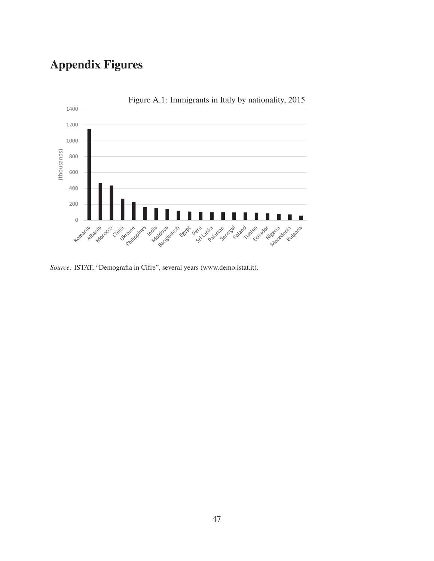# Appendix Figures



*Source:* ISTAT, "Demografia in Cifre", several years (www.demo.istat.it).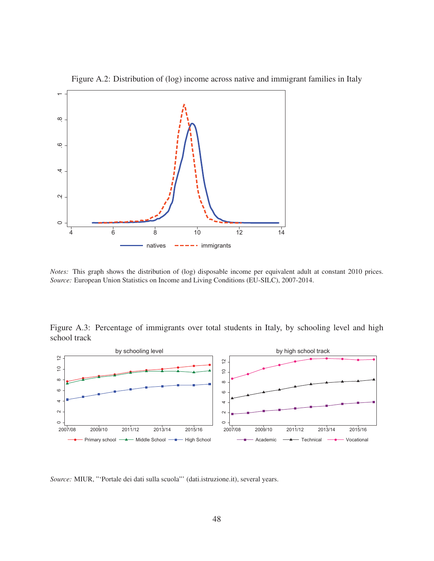

Figure A.2: Distribution of (log) income across native and immigrant families in Italy

*Notes:* This graph shows the distribution of (log) disposable income per equivalent adult at constant 2010 prices. *Source:* European Union Statistics on Income and Living Conditions (EU-SILC), 2007-2014.

Figure A.3: Percentage of immigrants over total students in Italy, by schooling level and high school track



*Source:* MIUR, "'Portale dei dati sulla scuola"' (dati.istruzione.it), several years.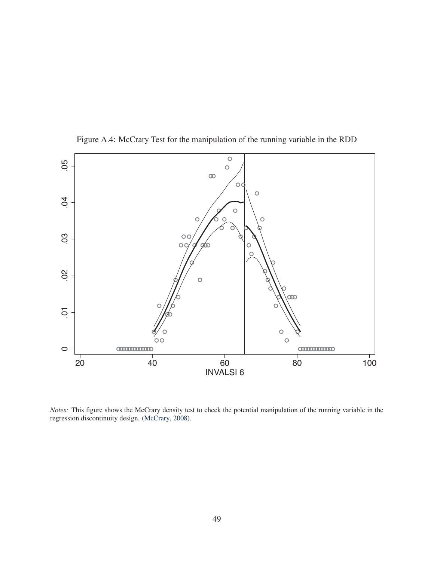

Figure A.4: McCrary Test for the manipulation of the running variable in the RDD

*Notes:* This figure shows the McCrary density test to check the potential manipulation of the running variable in the regression discontinuity design. (McCrary, 2008).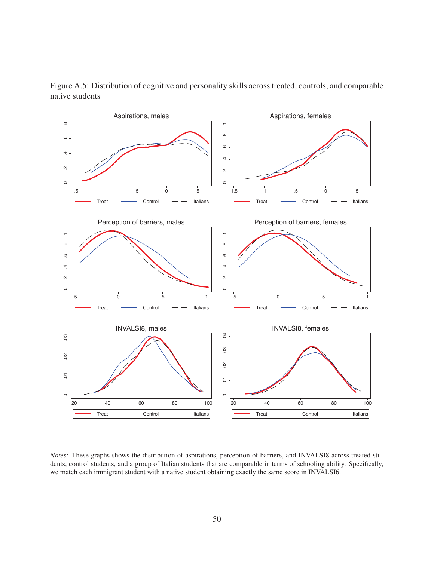

Figure A.5: Distribution of cognitive and personality skills across treated, controls, and comparable native students

*Notes:* These graphs shows the distribution of aspirations, perception of barriers, and INVALSI8 across treated students, control students, and a group of Italian students that are comparable in terms of schooling ability. Specifically, we match each immigrant student with a native student obtaining exactly the same score in INVALSI6.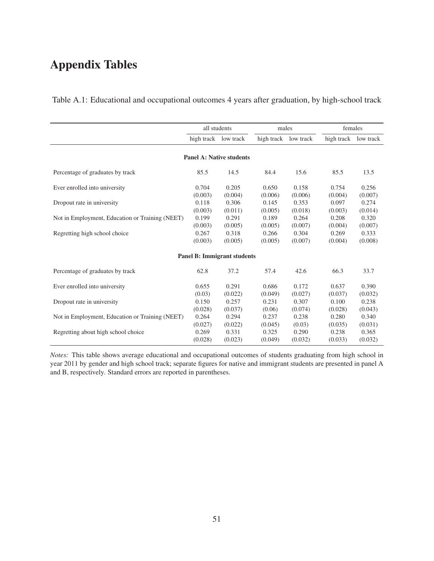## Appendix Tables

|                                                 | all students |                                    | males   |                      | females              |         |
|-------------------------------------------------|--------------|------------------------------------|---------|----------------------|----------------------|---------|
|                                                 |              | high track low track               |         | high track low track | high track low track |         |
|                                                 |              | <b>Panel A: Native students</b>    |         |                      |                      |         |
| Percentage of graduates by track                | 85.5         | 14.5                               | 84.4    | 15.6                 | 85.5                 | 13.5    |
| Ever enrolled into university                   | 0.704        | 0.205                              | 0.650   | 0.158                | 0.754                | 0.256   |
|                                                 | (0.003)      | (0.004)                            | (0.006) | (0.006)              | (0.004)              | (0.007) |
| Dropout rate in university                      | 0.118        | 0.306                              | 0.145   | 0.353                | 0.097                | 0.274   |
|                                                 | (0.003)      | (0.011)                            | (0.005) | (0.018)              | (0.003)              | (0.014) |
| Not in Employment, Education or Training (NEET) | 0.199        | 0.291                              | 0.189   | 0.264                | 0.208                | 0.320   |
|                                                 | (0.003)      | (0.005)                            | (0.005) | (0.007)              | (0.004)              | (0.007) |
| Regretting high school choice                   | 0.267        | 0.318                              | 0.266   | 0.304                | 0.269                | 0.333   |
|                                                 | (0.003)      | (0.005)                            | (0.005) | (0.007)              | (0.004)              | (0.008) |
|                                                 |              | <b>Panel B: Immigrant students</b> |         |                      |                      |         |
| Percentage of graduates by track                | 62.8         | 37.2                               | 57.4    | 42.6                 | 66.3                 | 33.7    |
| Ever enrolled into university                   | 0.655        | 0.291                              | 0.686   | 0.172                | 0.637                | 0.390   |
|                                                 | (0.03)       | (0.022)                            | (0.049) | (0.027)              | (0.037)              | (0.032) |
| Dropout rate in university                      | 0.150        | 0.257                              | 0.231   | 0.307                | 0.100                | 0.238   |
|                                                 | (0.028)      | (0.037)                            | (0.06)  | (0.074)              | (0.028)              | (0.043) |
| Not in Employment, Education or Training (NEET) | 0.264        | 0.294                              | 0.237   | 0.238                | 0.280                | 0.340   |
|                                                 | (0.027)      | (0.022)                            | (0.045) | (0.03)               | (0.035)              | (0.031) |
| Regretting about high school choice             | 0.269        | 0.331                              | 0.325   | 0.290                | 0.238                | 0.365   |
|                                                 | (0.028)      | (0.023)                            | (0.049) | (0.032)              | (0.033)              | (0.032) |

Table A.1: Educational and occupational outcomes 4 years after graduation, by high-school track

*Notes:* This table shows average educational and occupational outcomes of students graduating from high school in year 2011 by gender and high school track; separate figures for native and immigrant students are presented in panel A and B, respectively. Standard errors are reported in parentheses.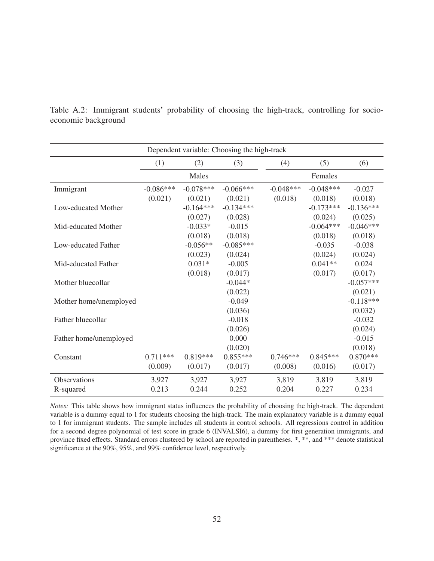|                        |             |             | Dependent variable: Choosing the high-track |             |             |             |
|------------------------|-------------|-------------|---------------------------------------------|-------------|-------------|-------------|
|                        | (1)         | (2)         | (3)                                         | (4)         | (5)         | (6)         |
|                        |             | Males       |                                             |             | Females     |             |
| Immigrant              | $-0.086***$ | $-0.078***$ | $-0.066***$                                 | $-0.048***$ | $-0.048***$ | $-0.027$    |
|                        | (0.021)     | (0.021)     | (0.021)                                     | (0.018)     | (0.018)     | (0.018)     |
| Low-educated Mother    |             | $-0.164***$ | $-0.134***$                                 |             | $-0.173***$ | $-0.136***$ |
|                        |             | (0.027)     | (0.028)                                     |             | (0.024)     | (0.025)     |
| Mid-educated Mother    |             | $-0.033*$   | $-0.015$                                    |             | $-0.064***$ | $-0.046***$ |
|                        |             | (0.018)     | (0.018)                                     |             | (0.018)     | (0.018)     |
| Low-educated Father    |             | $-0.056**$  | $-0.085***$                                 |             | $-0.035$    | $-0.038$    |
|                        |             | (0.023)     | (0.024)                                     |             | (0.024)     | (0.024)     |
| Mid-educated Father    |             | $0.031*$    | $-0.005$                                    |             | $0.041**$   | 0.024       |
|                        |             | (0.018)     | (0.017)                                     |             | (0.017)     | (0.017)     |
| Mother bluecollar      |             |             | $-0.044*$                                   |             |             | $-0.057***$ |
|                        |             |             | (0.022)                                     |             |             | (0.021)     |
| Mother home/unemployed |             |             | $-0.049$                                    |             |             | $-0.118***$ |
|                        |             |             | (0.036)                                     |             |             | (0.032)     |
| Father bluecollar      |             |             | $-0.018$                                    |             |             | $-0.032$    |
|                        |             |             | (0.026)                                     |             |             | (0.024)     |
| Father home/unemployed |             |             | 0.000                                       |             |             | $-0.015$    |
|                        |             |             | (0.020)                                     |             |             | (0.018)     |
| Constant               | $0.711***$  | $0.819***$  | $0.855***$                                  | $0.746***$  | $0.845***$  | $0.870***$  |
|                        | (0.009)     | (0.017)     | (0.017)                                     | (0.008)     | (0.016)     | (0.017)     |
| Observations           | 3,927       | 3,927       | 3,927                                       | 3,819       | 3,819       | 3,819       |
| R-squared              | 0.213       | 0.244       | 0.252                                       | 0.204       | 0.227       | 0.234       |

Table A.2: Immigrant students' probability of choosing the high-track, controlling for socioeconomic background

*Notes:* This table shows how immigrant status influences the probability of choosing the high-track. The dependent variable is a dummy equal to 1 for students choosing the high-track. The main explanatory variable is a dummy equal to 1 for immigrant students. The sample includes all students in control schools. All regressions control in addition for a second degree polynomial of test score in grade 6 (INVALSI6), a dummy for first generation immigrants, and province fixed effects. Standard errors clustered by school are reported in parentheses. \*, \*\*, and \*\*\* denote statistical significance at the 90%, 95%, and 99% confidence level, respectively.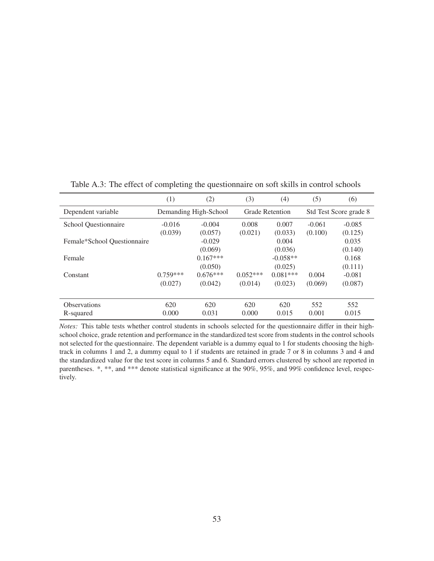|                             | (1)                   | (2)        | (3)        | (4)                    | (5)      | (6)                    |
|-----------------------------|-----------------------|------------|------------|------------------------|----------|------------------------|
| Dependent variable          | Demanding High-School |            |            | <b>Grade Retention</b> |          | Std Test Score grade 8 |
| School Questionnaire        | $-0.016$              | $-0.004$   | 0.008      | 0.007                  | $-0.061$ | $-0.085$               |
|                             | (0.039)               | (0.057)    | (0.021)    | (0.033)                | (0.100)  | (0.125)                |
| Female*School Questionnaire |                       | $-0.029$   |            | 0.004                  |          | 0.035                  |
|                             |                       | (0.069)    |            | (0.036)                |          | (0.140)                |
| Female                      |                       | $0.167***$ |            | $-0.058**$             |          | 0.168                  |
|                             |                       | (0.050)    |            | (0.025)                |          | (0.111)                |
| Constant                    | $0.759***$            | $0.676***$ | $0.052***$ | $0.081***$             | 0.004    | $-0.081$               |
|                             | (0.027)               | (0.042)    | (0.014)    | (0.023)                | (0.069)  | (0.087)                |
|                             |                       |            |            |                        |          |                        |
| <b>Observations</b>         | 620                   | 620        | 620        | 620                    | 552      | 552                    |
| R-squared                   | 0.000                 | 0.031      | 0.000      | 0.015                  | 0.001    | 0.015                  |

Table A.3: The effect of completing the questionnaire on soft skills in control schools

*Notes:* This table tests whether control students in schools selected for the questionnaire differ in their highschool choice, grade retention and performance in the standardized test score from students in the control schools not selected for the questionnaire. The dependent variable is a dummy equal to 1 for students choosing the hightrack in columns 1 and 2, a dummy equal to 1 if students are retained in grade 7 or 8 in columns 3 and 4 and the standardized value for the test score in columns 5 and 6. Standard errors clustered by school are reported in parentheses. \*, \*\*, and \*\*\* denote statistical significance at the 90%, 95%, and 99% confidence level, respectively.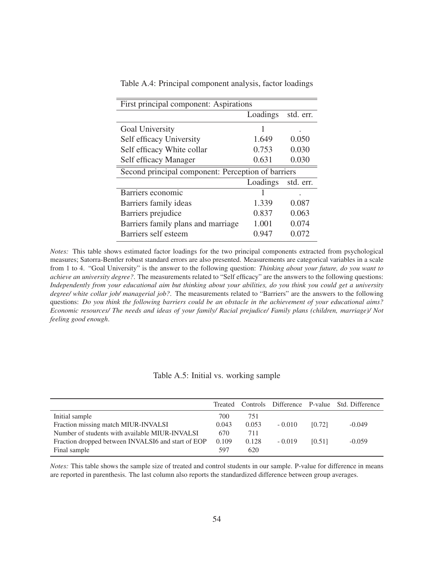| First principal component: Aspirations             |          |           |  |  |  |
|----------------------------------------------------|----------|-----------|--|--|--|
|                                                    | Loadings | std. err. |  |  |  |
| Goal University                                    |          |           |  |  |  |
| Self efficacy University                           | 1.649    | 0.050     |  |  |  |
| Self efficacy White collar                         | 0.753    | 0.030     |  |  |  |
| Self efficacy Manager                              | 0.631    | 0.030     |  |  |  |
| Second principal component: Perception of barriers |          |           |  |  |  |
|                                                    | Loadings | std. err. |  |  |  |
| Barriers economic                                  |          |           |  |  |  |
| Barriers family ideas                              | 1.339    | 0.087     |  |  |  |
| Barriers prejudice                                 | 0.837    | 0.063     |  |  |  |
| Barriers family plans and marriage                 | 1.001    | 0.074     |  |  |  |
| Barriers self esteem                               | 0.947    | 0.072     |  |  |  |

Table A.4: Principal component analysis, factor loadings

*Notes:* This table shows estimated factor loadings for the two principal components extracted from psychological measures; Satorra-Bentler robust standard errors are also presented. Measurements are categorical variables in a scale from 1 to 4. "Goal University" is the answer to the following question: *Thinking about your future, do you want to achieve an university degree?*. The measurements related to "Self efficacy" are the answers to the following questions: *Independently from your educational aim but thinking about your abilities, do you think you could get a university degree/ white collar job/ managerial job?*. The measurements related to "Barriers" are the answers to the following questions: *Do you think the following barriers could be an obstacle in the achievement of your educational aims? Economic resources/ The needs and ideas of your family/ Racial prejudice/ Family plans (children, marriage)/ Not feeling good enough*.

#### Table A.5: Initial vs. working sample

|                                                    |       |       |          |        | Treated Controls Difference P-value Std. Difference |
|----------------------------------------------------|-------|-------|----------|--------|-----------------------------------------------------|
| Initial sample                                     | 700   | 751   |          |        |                                                     |
| Fraction missing match MIUR-INVALSI                | 0.043 | 0.053 | $-0.010$ | [0.72] | $-0.049$                                            |
| Number of students with available MIUR-INVALSI     | 670   | 711   |          |        |                                                     |
| Fraction dropped between INVALSI6 and start of EOP | 0.109 | 0.128 | $-0.019$ | [0.51] | $-0.059$                                            |
| Final sample                                       | 597   | 620   |          |        |                                                     |

*Notes:* This table shows the sample size of treated and control students in our sample. P-value for difference in means are reported in parenthesis. The last column also reports the standardized difference between group averages.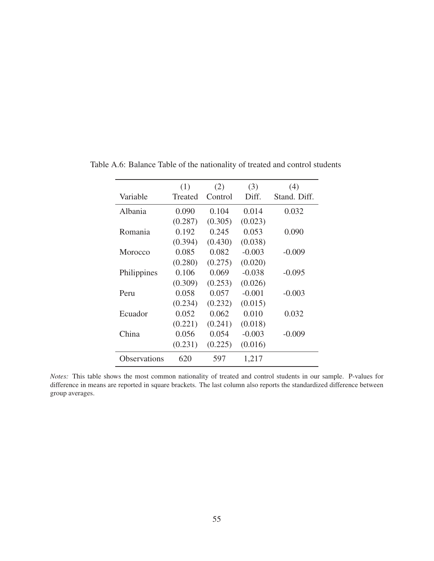|              | (1)     | (2)     | (3)      | (4)          |
|--------------|---------|---------|----------|--------------|
| Variable     | Treated | Control | Diff.    | Stand. Diff. |
| Albania      | 0.090   | 0.104   | 0.014    | 0.032        |
|              | (0.287) | (0.305) | (0.023)  |              |
| Romania      | 0.192   | 0.245   | 0.053    | 0.090        |
|              | (0.394) | (0.430) | (0.038)  |              |
| Morocco      | 0.085   | 0.082   | $-0.003$ | $-0.009$     |
|              | (0.280) | (0.275) | (0.020)  |              |
| Philippines  | 0.106   | 0.069   | $-0.038$ | $-0.095$     |
|              | (0.309) | (0.253) | (0.026)  |              |
| Peru         | 0.058   | 0.057   | $-0.001$ | $-0.003$     |
|              | (0.234) | (0.232) | (0.015)  |              |
| Ecuador      | 0.052   | 0.062   | 0.010    | 0.032        |
|              | (0.221) | (0.241) | (0.018)  |              |
| China        | 0.056   | 0.054   | $-0.003$ | $-0.009$     |
|              | (0.231) | (0.225) | (0.016)  |              |
| Observations | 620     | 597     | 1,217    |              |

Table A.6: Balance Table of the nationality of treated and control students

*Notes:* This table shows the most common nationality of treated and control students in our sample. P-values for difference in means are reported in square brackets. The last column also reports the standardized difference between group averages.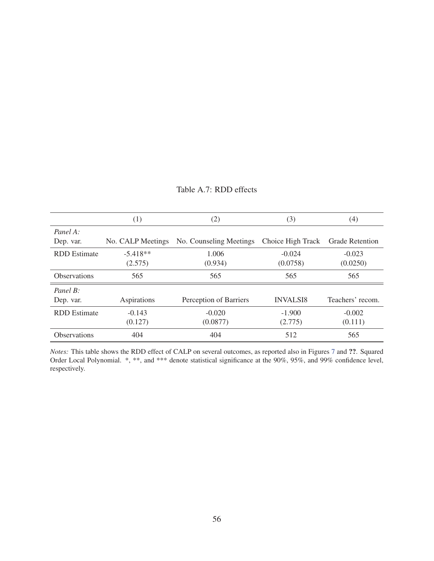|                     | (1)               | (2)                     | (3)               | (4)                    |
|---------------------|-------------------|-------------------------|-------------------|------------------------|
| Panel A:            |                   |                         |                   |                        |
| Dep. var.           | No. CALP Meetings | No. Counseling Meetings | Choice High Track | <b>Grade Retention</b> |
| <b>RDD</b> Estimate | $-5.418**$        | 1.006                   | $-0.024$          | $-0.023$               |
|                     | (2.575)           | (0.934)                 | (0.0758)          | (0.0250)               |
| <b>Observations</b> | 565               | 565                     | 565               | 565                    |
| Panel $B$ :         |                   |                         |                   |                        |
| Dep. var.           | Aspirations       | Perception of Barriers  | <b>INVALSI8</b>   | Teachers' recom.       |
| <b>RDD</b> Estimate | $-0.143$          | $-0.020$                | $-1.900$          | $-0.002$               |
|                     | (0.127)           | (0.0877)                | (2.775)           | (0.111)                |
| <b>Observations</b> | 404               | 404                     | 512               | 565                    |

#### Table A.7: RDD effects

*Notes:* This table shows the RDD effect of CALP on several outcomes, as reported also in Figures 7 and ??. Squared Order Local Polynomial. \*, \*\*, and \*\*\* denote statistical significance at the 90%, 95%, and 99% confidence level, respectively.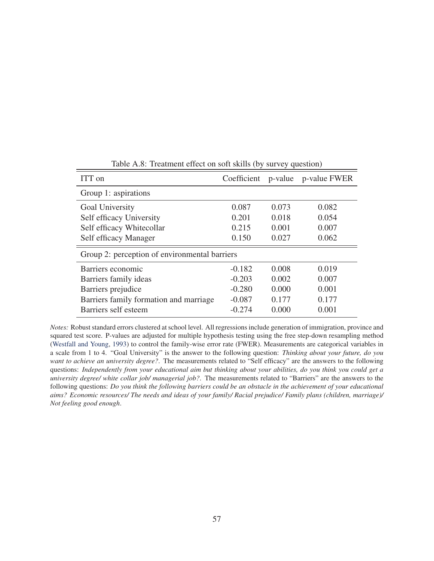| ITT on                                        |          |       | Coefficient p-value p-value FWER |  |  |  |
|-----------------------------------------------|----------|-------|----------------------------------|--|--|--|
| Group 1: aspirations                          |          |       |                                  |  |  |  |
| Goal University                               | 0.087    | 0.073 | 0.082                            |  |  |  |
| Self efficacy University                      | 0.201    | 0.018 | 0.054                            |  |  |  |
| Self efficacy Whitecollar                     | 0.215    | 0.001 | 0.007                            |  |  |  |
| Self efficacy Manager                         | 0.150    | 0.027 | 0.062                            |  |  |  |
| Group 2: perception of environmental barriers |          |       |                                  |  |  |  |
| Barriers economic                             | $-0.182$ | 0.008 | 0.019                            |  |  |  |
| Barriers family ideas                         | $-0.203$ | 0.002 | 0.007                            |  |  |  |
| Barriers prejudice                            | $-0.280$ | 0.000 | 0.001                            |  |  |  |
| Barriers family formation and marriage        | $-0.087$ | 0.177 | 0.177                            |  |  |  |
| Barriers self esteem                          | $-0.274$ | 0.000 | 0.001                            |  |  |  |

Table A.8: Treatment effect on soft skills (by survey question)

*Notes:* Robust standard errors clustered at school level. All regressions include generation of immigration, province and squared test score. P-values are adjusted for multiple hypothesis testing using the free step-down resampling method (Westfall and Young, 1993) to control the family-wise error rate (FWER). Measurements are categorical variables in a scale from 1 to 4. "Goal University" is the answer to the following question: *Thinking about your future, do you want to achieve an university degree?*. The measurements related to "Self efficacy" are the answers to the following questions: *Independently from your educational aim but thinking about your abilities, do you think you could get a university degree/ white collar job/ managerial job?*. The measurements related to "Barriers" are the answers to the following questions: *Do you think the following barriers could be an obstacle in the achievement of your educational aims? Economic resources/ The needs and ideas of your family/ Racial prejudice/ Family plans (children, marriage)/ Not feeling good enough*.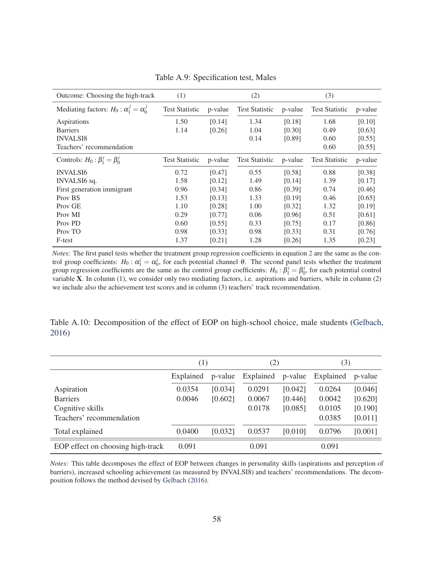| Outcome: Choosing the high-track                  | (1)                   |         | (2)                   |         | (3)                   |         |
|---------------------------------------------------|-----------------------|---------|-----------------------|---------|-----------------------|---------|
| Mediating factors: $H_0: \alpha_1^j = \alpha_0^j$ | <b>Test Statistic</b> | p-value | <b>Test Statistic</b> | p-value | <b>Test Statistic</b> | p-value |
| Aspirations                                       | 1.50                  | [0.14]  | 1.34                  | [0.18]  | 1.68                  | [0.10]  |
| <b>Barriers</b>                                   | 1.14                  | [0.26]  | 1.04                  | [0.30]  | 0.49                  | [0.63]  |
| <b>INVALSI8</b>                                   |                       |         | 0.14                  | [0.89]  | 0.60                  | [0.55]  |
| Teachers' recommendation                          |                       |         |                       |         | 0.60                  | [0.55]  |
| Controls: $H_0: \beta_1^i = \beta_0^i$            | <b>Test Statistic</b> | p-value | <b>Test Statistic</b> | p-value | <b>Test Statistic</b> | p-value |
| <b>INVALSI6</b>                                   | 0.72                  | [0.47]  | 0.55                  | [0.58]  | 0.88                  | [0.38]  |
| INVALSI6 sq.                                      | 1.58                  | [0.12]  | 1.49                  | [0.14]  | 1.39                  | [0.17]  |
| First generation immigrant                        | 0.96                  | [0.34]  | 0.86                  | [0.39]  | 0.74                  | [0.46]  |
| Prov BS                                           | 1.53                  | [0.13]  | 1.33                  | [0.19]  | 0.46                  | [0.65]  |
| Prov GE                                           | 1.10                  | [0.28]  | 1.00                  | [0.32]  | 1.32                  | [0.19]  |
| Prov MI                                           | 0.29                  | [0.77]  | 0.06                  | [0.96]  | 0.51                  | [0.61]  |
| Prov PD                                           | 0.60                  | [0.55]  | 0.33                  | [0.75]  | 0.17                  | [0.86]  |
| Prov TO                                           | 0.98                  | [0.33]  | 0.98                  | [0.33]  | 0.31                  | [0.76]  |
| F-test                                            | 1.37                  | [0.21]  | 1.28                  | [0.26]  | 1.35                  | [0.23]  |

Table A.9: Specification test, Males

*Notes:* The first panel tests whether the treatment group regression coefficients in equation 2 are the same as the control group coefficients:  $H_0: \alpha_1^i = \alpha_0^i$ , for each potential channel  $\theta$ . The second panel tests whether the treatment group regression coefficients are the same as the control group coefficients:  $H_0: \beta_1^i = \beta_0^i$ , for each potential control variable X. In column (1), we consider only two mediating factors, i.e. aspirations and barriers, while in column (2) we include also the achievement test scores and in column (3) teachers' track recommendation.

Table A.10: Decomposition of the effect of EOP on high-school choice, male students (Gelbach, 2016)

|                                   | (1)       |         | (2)       |         | (3)       |         |
|-----------------------------------|-----------|---------|-----------|---------|-----------|---------|
|                                   | Explained | p-value | Explained | p-value | Explained | p-value |
| Aspiration                        | 0.0354    | [0.034] | 0.0291    | [0.042] | 0.0264    | [0.046] |
| <b>Barriers</b>                   | 0.0046    | [0.602] | 0.0067    | [0.446] | 0.0042    | [0.620] |
| Cognitive skills                  |           |         | 0.0178    | [0.085] | 0.0105    | [0.190] |
| Teachers' recommendation          |           |         |           |         | 0.0385    | [0.011] |
| Total explained                   | 0.0400    | [0.032] | 0.0537    | [0.010] | 0.0796    | [0.001] |
| EOP effect on choosing high-track | 0.091     |         | 0.091     |         | 0.091     |         |

*Notes:* This table decomposes the effect of EOP between changes in personality skills (aspirations and perception of barriers), increased schooling achievement (as measured by INVALSI8) and teachers' recommendations. The decomposition follows the method devised by Gelbach (2016).